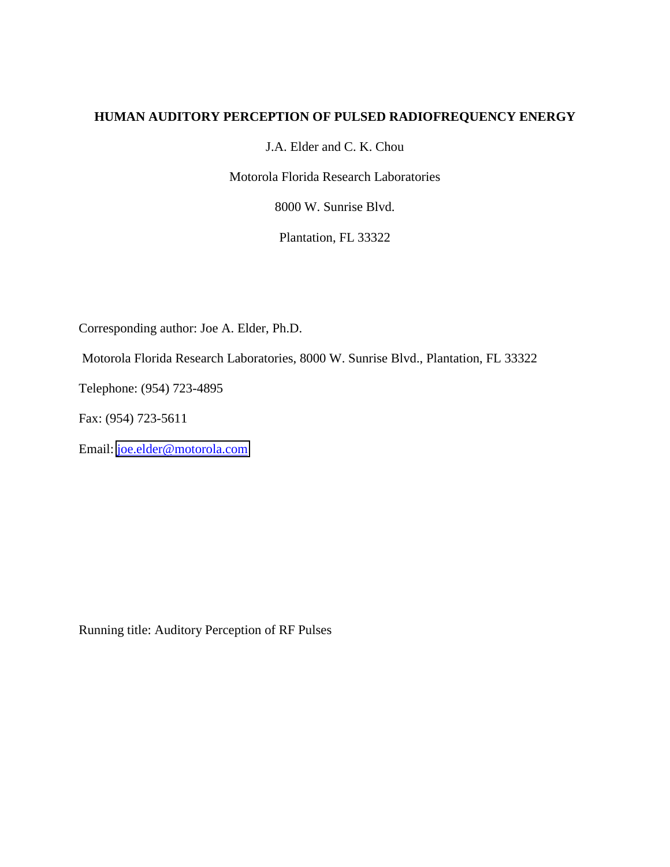### **HUMAN AUDITORY PERCEPTION OF PULSED RADIOFREQUENCY ENERGY**

J.A. Elder and C. K. Chou

Motorola Florida Research Laboratories

8000 W. Sunrise Blvd.

Plantation, FL 33322

Corresponding author: Joe A. Elder, Ph.D.

Motorola Florida Research Laboratories, 8000 W. Sunrise Blvd., Plantation, FL 33322

Telephone: (954) 723-4895

Fax: (954) 723-5611

Email: [joe.elder@motorola.com](mailto:joe.elder@motorola.com)

Running title: Auditory Perception of RF Pulses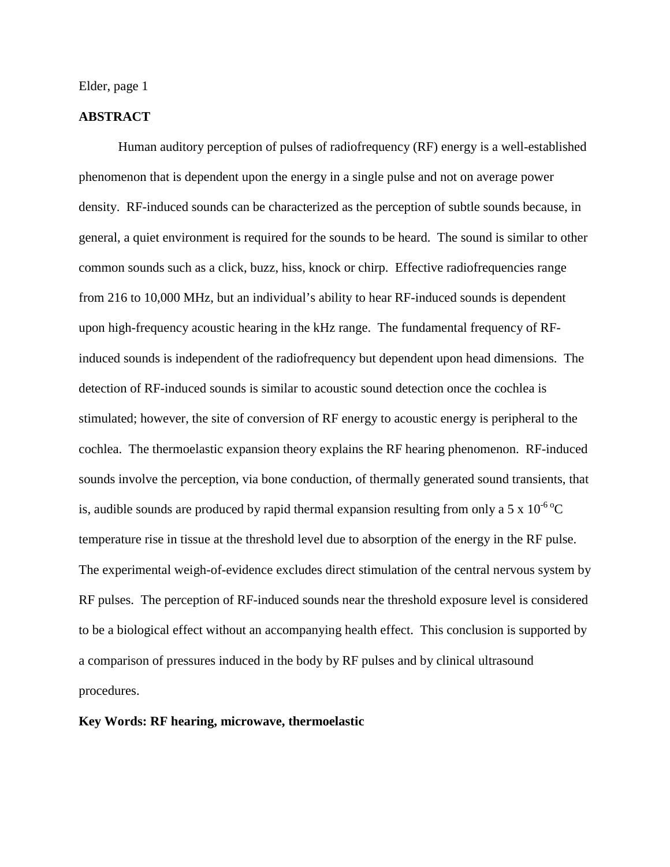#### **ABSTRACT**

Human auditory perception of pulses of radiofrequency (RF) energy is a well-established phenomenon that is dependent upon the energy in a single pulse and not on average power density. RF-induced sounds can be characterized as the perception of subtle sounds because, in general, a quiet environment is required for the sounds to be heard. The sound is similar to other common sounds such as a click, buzz, hiss, knock or chirp. Effective radiofrequencies range from 216 to 10,000 MHz, but an individual's ability to hear RF-induced sounds is dependent upon high-frequency acoustic hearing in the kHz range. The fundamental frequency of RFinduced sounds is independent of the radiofrequency but dependent upon head dimensions. The detection of RF-induced sounds is similar to acoustic sound detection once the cochlea is stimulated; however, the site of conversion of RF energy to acoustic energy is peripheral to the cochlea. The thermoelastic expansion theory explains the RF hearing phenomenon. RF-induced sounds involve the perception, via bone conduction, of thermally generated sound transients, that is, audible sounds are produced by rapid thermal expansion resulting from only a 5 x  $10^{-6}$ °C temperature rise in tissue at the threshold level due to absorption of the energy in the RF pulse. The experimental weigh-of-evidence excludes direct stimulation of the central nervous system by RF pulses. The perception of RF-induced sounds near the threshold exposure level is considered to be a biological effect without an accompanying health effect. This conclusion is supported by a comparison of pressures induced in the body by RF pulses and by clinical ultrasound procedures.

#### **Key Words: RF hearing, microwave, thermoelastic**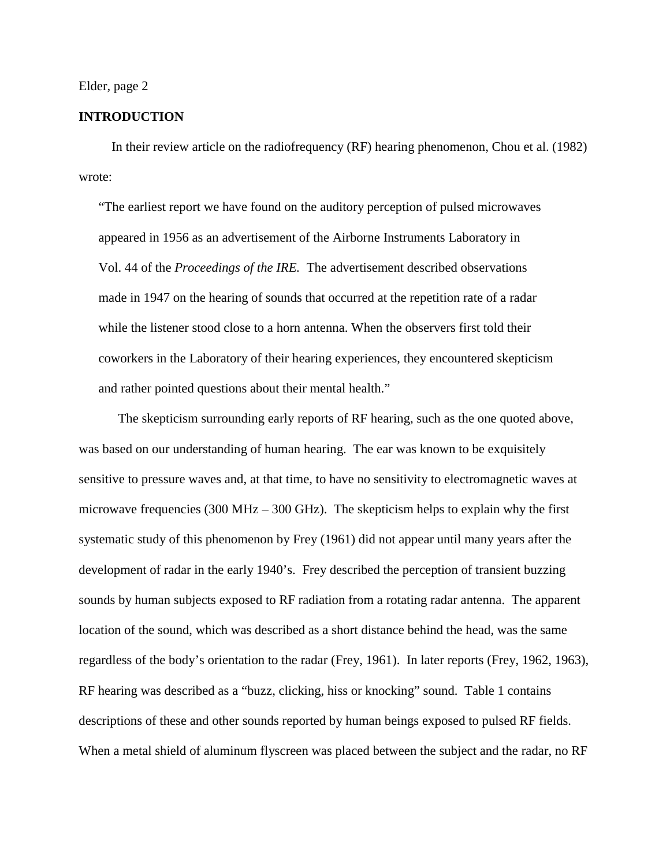#### **INTRODUCTION**

 In their review article on the radiofrequency (RF) hearing phenomenon, Chou et al. (1982) wrote:

"The earliest report we have found on the auditory perception of pulsed microwaves appeared in 1956 as an advertisement of the Airborne Instruments Laboratory in Vol. 44 of the *Proceedings of the IRE.* The advertisement described observations made in 1947 on the hearing of sounds that occurred at the repetition rate of a radar while the listener stood close to a horn antenna. When the observers first told their coworkers in the Laboratory of their hearing experiences, they encountered skepticism and rather pointed questions about their mental health."

 The skepticism surrounding early reports of RF hearing, such as the one quoted above, was based on our understanding of human hearing. The ear was known to be exquisitely sensitive to pressure waves and, at that time, to have no sensitivity to electromagnetic waves at microwave frequencies (300 MHz  $-$  300 GHz). The skepticism helps to explain why the first systematic study of this phenomenon by Frey (1961) did not appear until many years after the development of radar in the early 1940's. Frey described the perception of transient buzzing sounds by human subjects exposed to RF radiation from a rotating radar antenna. The apparent location of the sound, which was described as a short distance behind the head, was the same regardless of the body's orientation to the radar (Frey, 1961). In later reports (Frey, 1962, 1963), RF hearing was described as a "buzz, clicking, hiss or knocking" sound. Table 1 contains descriptions of these and other sounds reported by human beings exposed to pulsed RF fields. When a metal shield of aluminum flyscreen was placed between the subject and the radar, no RF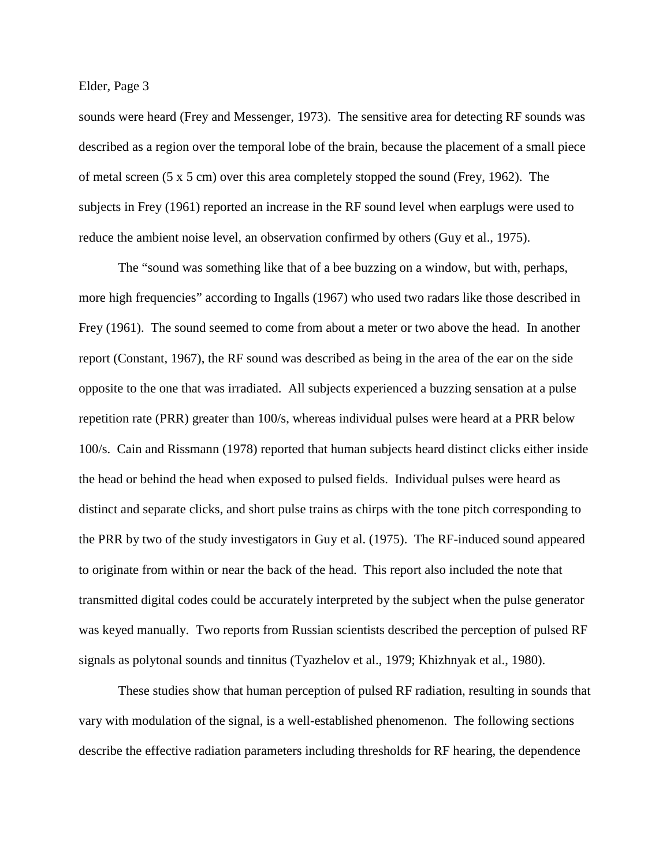sounds were heard (Frey and Messenger, 1973). The sensitive area for detecting RF sounds was described as a region over the temporal lobe of the brain, because the placement of a small piece of metal screen (5 x 5 cm) over this area completely stopped the sound (Frey, 1962). The subjects in Frey (1961) reported an increase in the RF sound level when earplugs were used to reduce the ambient noise level, an observation confirmed by others (Guy et al., 1975).

The "sound was something like that of a bee buzzing on a window, but with, perhaps, more high frequencies" according to Ingalls (1967) who used two radars like those described in Frey (1961). The sound seemed to come from about a meter or two above the head. In another report (Constant, 1967), the RF sound was described as being in the area of the ear on the side opposite to the one that was irradiated. All subjects experienced a buzzing sensation at a pulse repetition rate (PRR) greater than 100/s, whereas individual pulses were heard at a PRR below 100/s. Cain and Rissmann (1978) reported that human subjects heard distinct clicks either inside the head or behind the head when exposed to pulsed fields. Individual pulses were heard as distinct and separate clicks, and short pulse trains as chirps with the tone pitch corresponding to the PRR by two of the study investigators in Guy et al. (1975). The RF-induced sound appeared to originate from within or near the back of the head. This report also included the note that transmitted digital codes could be accurately interpreted by the subject when the pulse generator was keyed manually. Two reports from Russian scientists described the perception of pulsed RF signals as polytonal sounds and tinnitus (Tyazhelov et al., 1979; Khizhnyak et al., 1980).

These studies show that human perception of pulsed RF radiation, resulting in sounds that vary with modulation of the signal, is a well-established phenomenon. The following sections describe the effective radiation parameters including thresholds for RF hearing, the dependence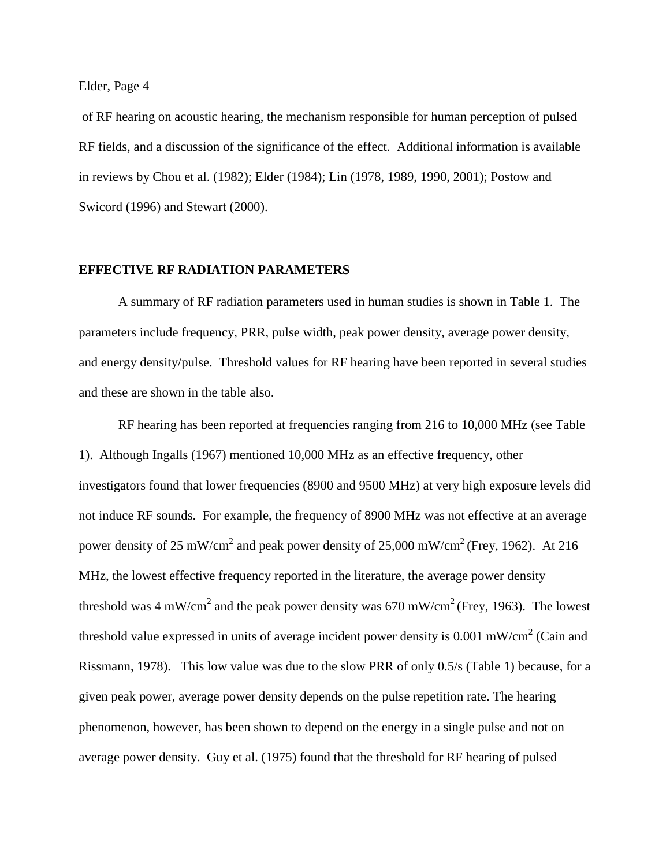of RF hearing on acoustic hearing, the mechanism responsible for human perception of pulsed RF fields, and a discussion of the significance of the effect. Additional information is available in reviews by Chou et al. (1982); Elder (1984); Lin (1978, 1989, 1990, 2001); Postow and Swicord (1996) and Stewart (2000).

#### **EFFECTIVE RF RADIATION PARAMETERS**

A summary of RF radiation parameters used in human studies is shown in Table 1. The parameters include frequency, PRR, pulse width, peak power density, average power density, and energy density/pulse. Threshold values for RF hearing have been reported in several studies and these are shown in the table also.

RF hearing has been reported at frequencies ranging from 216 to 10,000 MHz (see Table 1). Although Ingalls (1967) mentioned 10,000 MHz as an effective frequency, other investigators found that lower frequencies (8900 and 9500 MHz) at very high exposure levels did not induce RF sounds. For example, the frequency of 8900 MHz was not effective at an average power density of 25 mW/cm<sup>2</sup> and peak power density of 25,000 mW/cm<sup>2</sup> (Frey, 1962). At 216 MHz, the lowest effective frequency reported in the literature, the average power density threshold was 4 mW/cm<sup>2</sup> and the peak power density was 670 mW/cm<sup>2</sup> (Frey, 1963). The lowest threshold value expressed in units of average incident power density is 0.001 mW/cm<sup>2</sup> (Cain and Rissmann, 1978). This low value was due to the slow PRR of only 0.5/s (Table 1) because, for a given peak power, average power density depends on the pulse repetition rate. The hearing phenomenon, however, has been shown to depend on the energy in a single pulse and not on average power density. Guy et al. (1975) found that the threshold for RF hearing of pulsed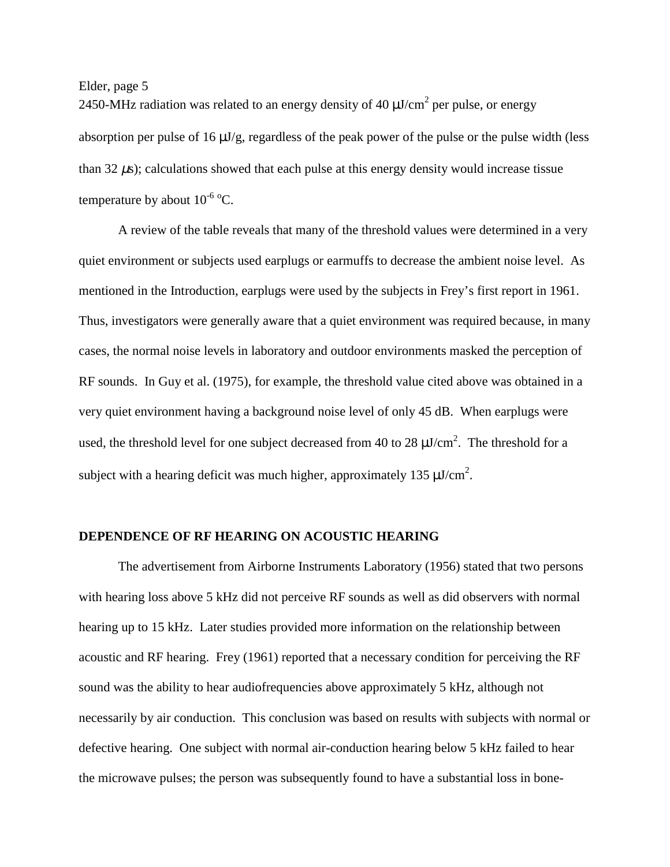2450-MHz radiation was related to an energy density of 40  $\mu$ J/cm<sup>2</sup> per pulse, or energy absorption per pulse of 16  $\mu$ J/g, regardless of the peak power of the pulse or the pulse width (less than  $32 \mu s$ ; calculations showed that each pulse at this energy density would increase tissue temperature by about  $10^{-6}$  °C.

A review of the table reveals that many of the threshold values were determined in a very quiet environment or subjects used earplugs or earmuffs to decrease the ambient noise level. As mentioned in the Introduction, earplugs were used by the subjects in Frey's first report in 1961. Thus, investigators were generally aware that a quiet environment was required because, in many cases, the normal noise levels in laboratory and outdoor environments masked the perception of RF sounds. In Guy et al. (1975), for example, the threshold value cited above was obtained in a very quiet environment having a background noise level of only 45 dB. When earplugs were used, the threshold level for one subject decreased from 40 to 28  $\mu$ J/cm<sup>2</sup>. The threshold for a subject with a hearing deficit was much higher, approximately 135  $\mu$ J/cm<sup>2</sup>.

#### **DEPENDENCE OF RF HEARING ON ACOUSTIC HEARING**

The advertisement from Airborne Instruments Laboratory (1956) stated that two persons with hearing loss above 5 kHz did not perceive RF sounds as well as did observers with normal hearing up to 15 kHz. Later studies provided more information on the relationship between acoustic and RF hearing. Frey (1961) reported that a necessary condition for perceiving the RF sound was the ability to hear audiofrequencies above approximately 5 kHz, although not necessarily by air conduction. This conclusion was based on results with subjects with normal or defective hearing. One subject with normal air-conduction hearing below 5 kHz failed to hear the microwave pulses; the person was subsequently found to have a substantial loss in bone-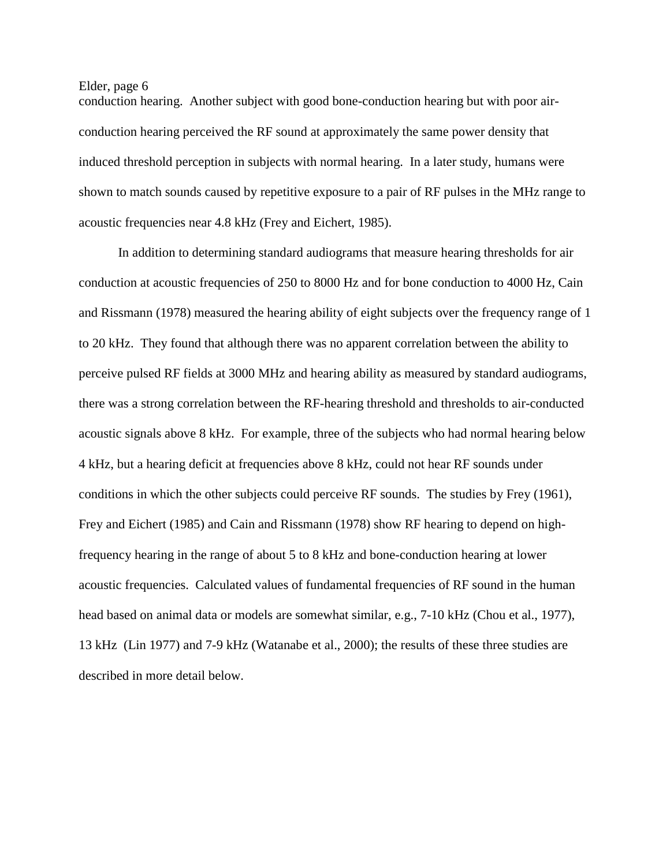conduction hearing. Another subject with good bone-conduction hearing but with poor airconduction hearing perceived the RF sound at approximately the same power density that induced threshold perception in subjects with normal hearing. In a later study, humans were shown to match sounds caused by repetitive exposure to a pair of RF pulses in the MHz range to acoustic frequencies near 4.8 kHz (Frey and Eichert, 1985).

In addition to determining standard audiograms that measure hearing thresholds for air conduction at acoustic frequencies of 250 to 8000 Hz and for bone conduction to 4000 Hz, Cain and Rissmann (1978) measured the hearing ability of eight subjects over the frequency range of 1 to 20 kHz. They found that although there was no apparent correlation between the ability to perceive pulsed RF fields at 3000 MHz and hearing ability as measured by standard audiograms, there was a strong correlation between the RF-hearing threshold and thresholds to air-conducted acoustic signals above 8 kHz. For example, three of the subjects who had normal hearing below 4 kHz, but a hearing deficit at frequencies above 8 kHz, could not hear RF sounds under conditions in which the other subjects could perceive RF sounds. The studies by Frey (1961), Frey and Eichert (1985) and Cain and Rissmann (1978) show RF hearing to depend on highfrequency hearing in the range of about 5 to 8 kHz and bone-conduction hearing at lower acoustic frequencies. Calculated values of fundamental frequencies of RF sound in the human head based on animal data or models are somewhat similar, e.g., 7-10 kHz (Chou et al., 1977), 13 kHz (Lin 1977) and 7-9 kHz (Watanabe et al., 2000); the results of these three studies are described in more detail below.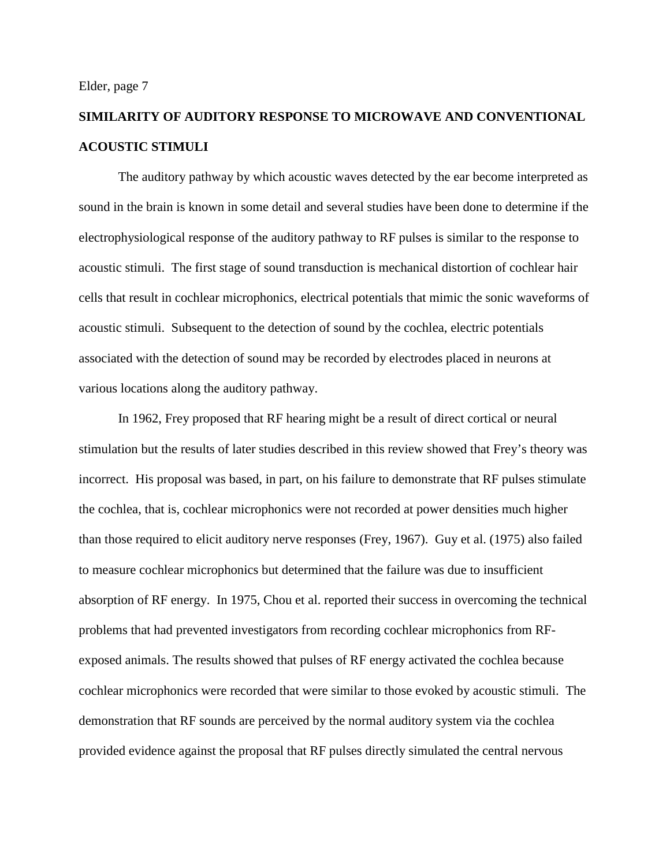# **SIMILARITY OF AUDITORY RESPONSE TO MICROWAVE AND CONVENTIONAL ACOUSTIC STIMULI**

The auditory pathway by which acoustic waves detected by the ear become interpreted as sound in the brain is known in some detail and several studies have been done to determine if the electrophysiological response of the auditory pathway to RF pulses is similar to the response to acoustic stimuli. The first stage of sound transduction is mechanical distortion of cochlear hair cells that result in cochlear microphonics, electrical potentials that mimic the sonic waveforms of acoustic stimuli. Subsequent to the detection of sound by the cochlea, electric potentials associated with the detection of sound may be recorded by electrodes placed in neurons at various locations along the auditory pathway.

In 1962, Frey proposed that RF hearing might be a result of direct cortical or neural stimulation but the results of later studies described in this review showed that Frey's theory was incorrect. His proposal was based, in part, on his failure to demonstrate that RF pulses stimulate the cochlea, that is, cochlear microphonics were not recorded at power densities much higher than those required to elicit auditory nerve responses (Frey, 1967). Guy et al. (1975) also failed to measure cochlear microphonics but determined that the failure was due to insufficient absorption of RF energy. In 1975, Chou et al. reported their success in overcoming the technical problems that had prevented investigators from recording cochlear microphonics from RFexposed animals. The results showed that pulses of RF energy activated the cochlea because cochlear microphonics were recorded that were similar to those evoked by acoustic stimuli. The demonstration that RF sounds are perceived by the normal auditory system via the cochlea provided evidence against the proposal that RF pulses directly simulated the central nervous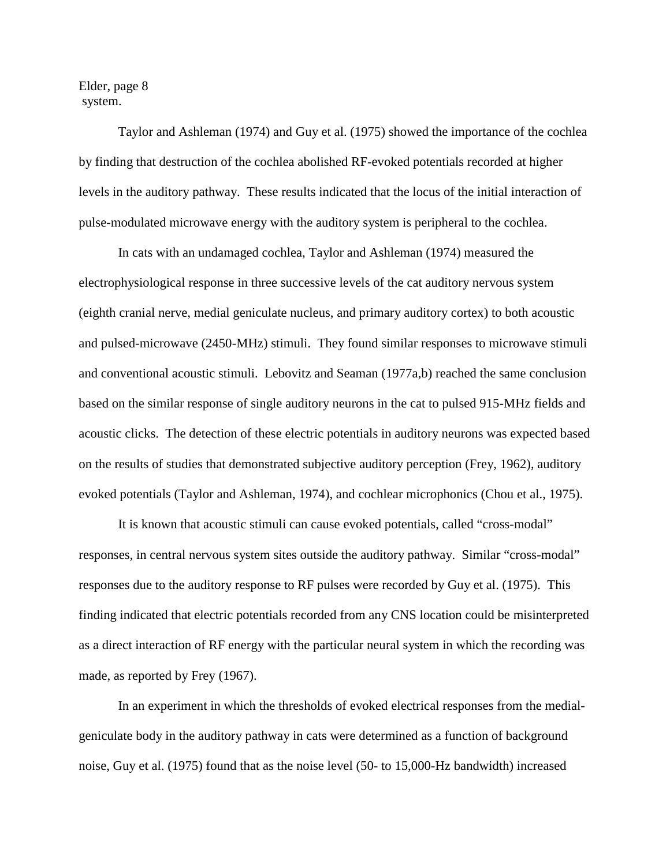Elder, page 8 system.

Taylor and Ashleman (1974) and Guy et al. (1975) showed the importance of the cochlea by finding that destruction of the cochlea abolished RF-evoked potentials recorded at higher levels in the auditory pathway. These results indicated that the locus of the initial interaction of pulse-modulated microwave energy with the auditory system is peripheral to the cochlea.

In cats with an undamaged cochlea, Taylor and Ashleman (1974) measured the electrophysiological response in three successive levels of the cat auditory nervous system (eighth cranial nerve, medial geniculate nucleus, and primary auditory cortex) to both acoustic and pulsed-microwave (2450-MHz) stimuli. They found similar responses to microwave stimuli and conventional acoustic stimuli. Lebovitz and Seaman (1977a,b) reached the same conclusion based on the similar response of single auditory neurons in the cat to pulsed 915-MHz fields and acoustic clicks. The detection of these electric potentials in auditory neurons was expected based on the results of studies that demonstrated subjective auditory perception (Frey, 1962), auditory evoked potentials (Taylor and Ashleman, 1974), and cochlear microphonics (Chou et al., 1975).

It is known that acoustic stimuli can cause evoked potentials, called "cross-modal" responses, in central nervous system sites outside the auditory pathway. Similar "cross-modal" responses due to the auditory response to RF pulses were recorded by Guy et al. (1975). This finding indicated that electric potentials recorded from any CNS location could be misinterpreted as a direct interaction of RF energy with the particular neural system in which the recording was made, as reported by Frey (1967).

In an experiment in which the thresholds of evoked electrical responses from the medialgeniculate body in the auditory pathway in cats were determined as a function of background noise, Guy et al. (1975) found that as the noise level (50- to 15,000-Hz bandwidth) increased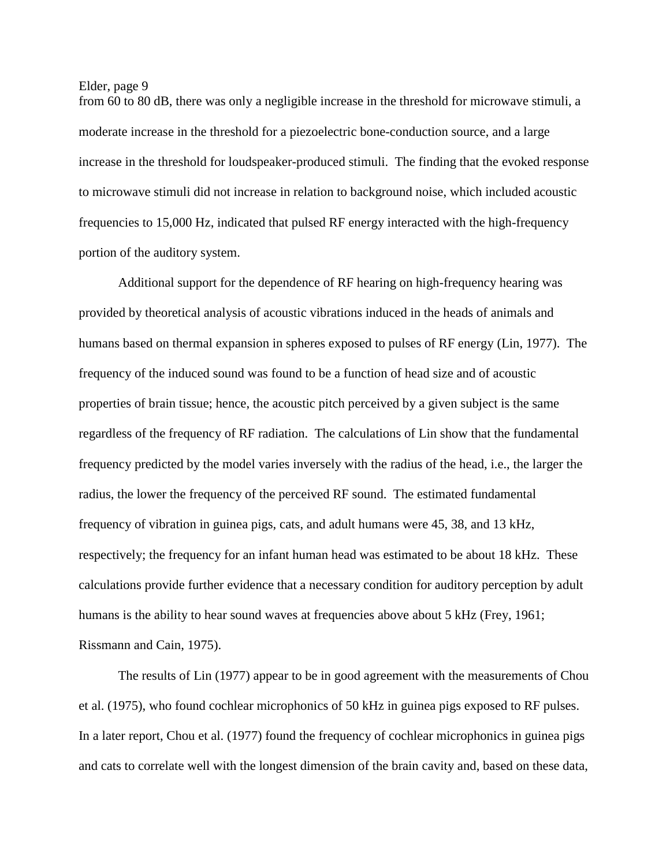from 60 to 80 dB, there was only a negligible increase in the threshold for microwave stimuli, a moderate increase in the threshold for a piezoelectric bone-conduction source, and a large increase in the threshold for loudspeaker-produced stimuli. The finding that the evoked response to microwave stimuli did not increase in relation to background noise, which included acoustic frequencies to 15,000 Hz, indicated that pulsed RF energy interacted with the high-frequency portion of the auditory system.

Additional support for the dependence of RF hearing on high-frequency hearing was provided by theoretical analysis of acoustic vibrations induced in the heads of animals and humans based on thermal expansion in spheres exposed to pulses of RF energy (Lin, 1977). The frequency of the induced sound was found to be a function of head size and of acoustic properties of brain tissue; hence, the acoustic pitch perceived by a given subject is the same regardless of the frequency of RF radiation. The calculations of Lin show that the fundamental frequency predicted by the model varies inversely with the radius of the head, i.e., the larger the radius, the lower the frequency of the perceived RF sound. The estimated fundamental frequency of vibration in guinea pigs, cats, and adult humans were 45, 38, and 13 kHz, respectively; the frequency for an infant human head was estimated to be about 18 kHz. These calculations provide further evidence that a necessary condition for auditory perception by adult humans is the ability to hear sound waves at frequencies above about 5 kHz (Frey, 1961; Rissmann and Cain, 1975).

The results of Lin (1977) appear to be in good agreement with the measurements of Chou et al. (1975), who found cochlear microphonics of 50 kHz in guinea pigs exposed to RF pulses. In a later report, Chou et al. (1977) found the frequency of cochlear microphonics in guinea pigs and cats to correlate well with the longest dimension of the brain cavity and, based on these data,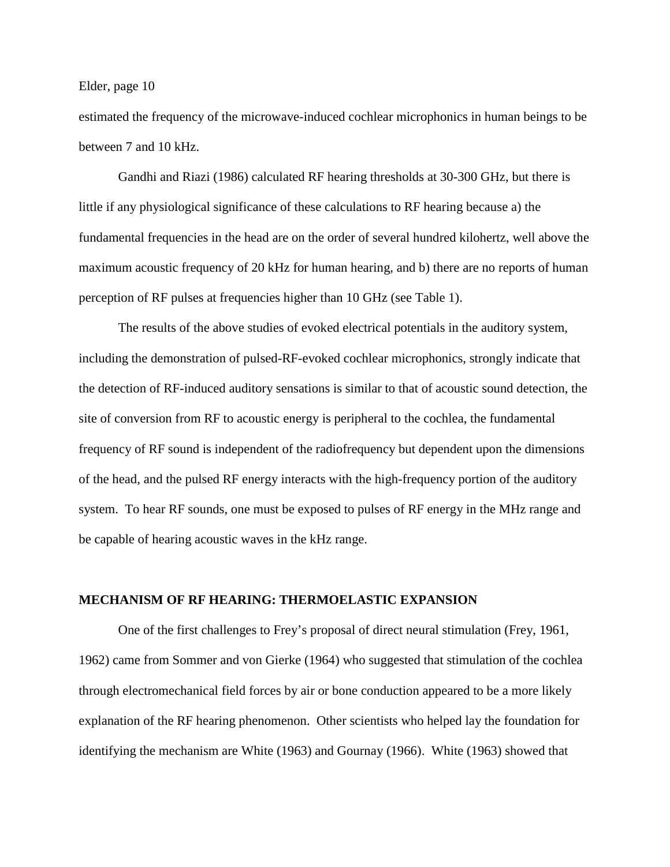estimated the frequency of the microwave-induced cochlear microphonics in human beings to be between 7 and 10 kHz.

Gandhi and Riazi (1986) calculated RF hearing thresholds at 30-300 GHz, but there is little if any physiological significance of these calculations to RF hearing because a) the fundamental frequencies in the head are on the order of several hundred kilohertz, well above the maximum acoustic frequency of 20 kHz for human hearing, and b) there are no reports of human perception of RF pulses at frequencies higher than 10 GHz (see Table 1).

The results of the above studies of evoked electrical potentials in the auditory system, including the demonstration of pulsed-RF-evoked cochlear microphonics, strongly indicate that the detection of RF-induced auditory sensations is similar to that of acoustic sound detection, the site of conversion from RF to acoustic energy is peripheral to the cochlea, the fundamental frequency of RF sound is independent of the radiofrequency but dependent upon the dimensions of the head, and the pulsed RF energy interacts with the high-frequency portion of the auditory system. To hear RF sounds, one must be exposed to pulses of RF energy in the MHz range and be capable of hearing acoustic waves in the kHz range.

#### **MECHANISM OF RF HEARING: THERMOELASTIC EXPANSION**

One of the first challenges to Frey's proposal of direct neural stimulation (Frey, 1961, 1962) came from Sommer and von Gierke (1964) who suggested that stimulation of the cochlea through electromechanical field forces by air or bone conduction appeared to be a more likely explanation of the RF hearing phenomenon. Other scientists who helped lay the foundation for identifying the mechanism are White (1963) and Gournay (1966). White (1963) showed that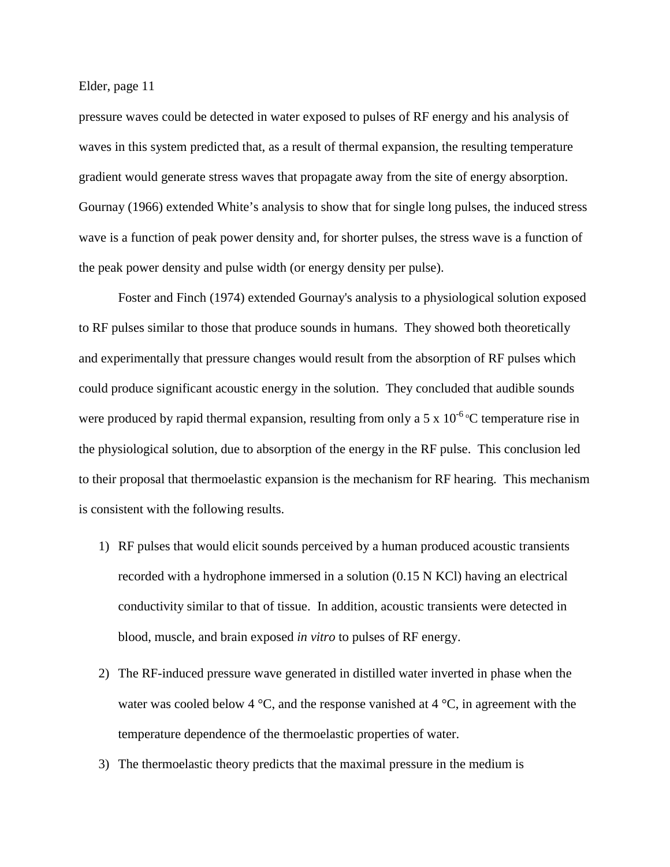pressure waves could be detected in water exposed to pulses of RF energy and his analysis of waves in this system predicted that, as a result of thermal expansion, the resulting temperature gradient would generate stress waves that propagate away from the site of energy absorption. Gournay (1966) extended White's analysis to show that for single long pulses, the induced stress wave is a function of peak power density and, for shorter pulses, the stress wave is a function of the peak power density and pulse width (or energy density per pulse).

Foster and Finch (1974) extended Gournay's analysis to a physiological solution exposed to RF pulses similar to those that produce sounds in humans. They showed both theoretically and experimentally that pressure changes would result from the absorption of RF pulses which could produce significant acoustic energy in the solution. They concluded that audible sounds were produced by rapid thermal expansion, resulting from only a 5 x  $10^{-6}$  °C temperature rise in the physiological solution, due to absorption of the energy in the RF pulse. This conclusion led to their proposal that thermoelastic expansion is the mechanism for RF hearing. This mechanism is consistent with the following results.

- 1) RF pulses that would elicit sounds perceived by a human produced acoustic transients recorded with a hydrophone immersed in a solution (0.15 N KCl) having an electrical conductivity similar to that of tissue. In addition, acoustic transients were detected in blood, muscle, and brain exposed *in vitro* to pulses of RF energy.
- 2) The RF-induced pressure wave generated in distilled water inverted in phase when the water was cooled below 4  $\degree$ C, and the response vanished at 4  $\degree$ C, in agreement with the temperature dependence of the thermoelastic properties of water.
- 3) The thermoelastic theory predicts that the maximal pressure in the medium is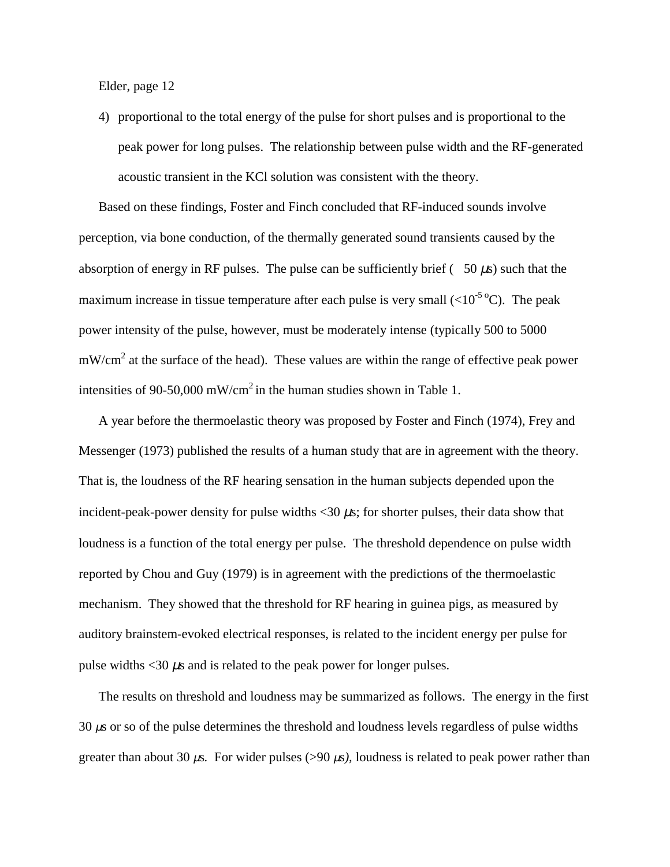4) proportional to the total energy of the pulse for short pulses and is proportional to the peak power for long pulses. The relationship between pulse width and the RF-generated acoustic transient in the KCl solution was consistent with the theory.

Based on these findings, Foster and Finch concluded that RF-induced sounds involve perception, via bone conduction, of the thermally generated sound transients caused by the absorption of energy in RF pulses. The pulse can be sufficiently brief  $(50 \mu s)$  such that the maximum increase in tissue temperature after each pulse is very small  $(<10^{-5} {}^{\circ}C)$ . The peak power intensity of the pulse, however, must be moderately intense (typically 500 to 5000  $mW/cm<sup>2</sup>$  at the surface of the head). These values are within the range of effective peak power intensities of 90-50,000 mW/cm<sup>2</sup> in the human studies shown in Table 1.

A year before the thermoelastic theory was proposed by Foster and Finch (1974), Frey and Messenger (1973) published the results of a human study that are in agreement with the theory. That is, the loudness of the RF hearing sensation in the human subjects depended upon the incident-peak-power density for pulse widths  $\langle 30 \mu s;$  for shorter pulses, their data show that loudness is a function of the total energy per pulse. The threshold dependence on pulse width reported by Chou and Guy (1979) is in agreement with the predictions of the thermoelastic mechanism. They showed that the threshold for RF hearing in guinea pigs, as measured by auditory brainstem-evoked electrical responses, is related to the incident energy per pulse for pulse widths  $\langle 30 \mu s \rangle$  and is related to the peak power for longer pulses.

The results on threshold and loudness may be summarized as follows. The energy in the first  $30 \mu s$  or so of the pulse determines the threshold and loudness levels regardless of pulse widths greater than about 30  $\mu$ s. For wider pulses (>90  $\mu$ s), loudness is related to peak power rather than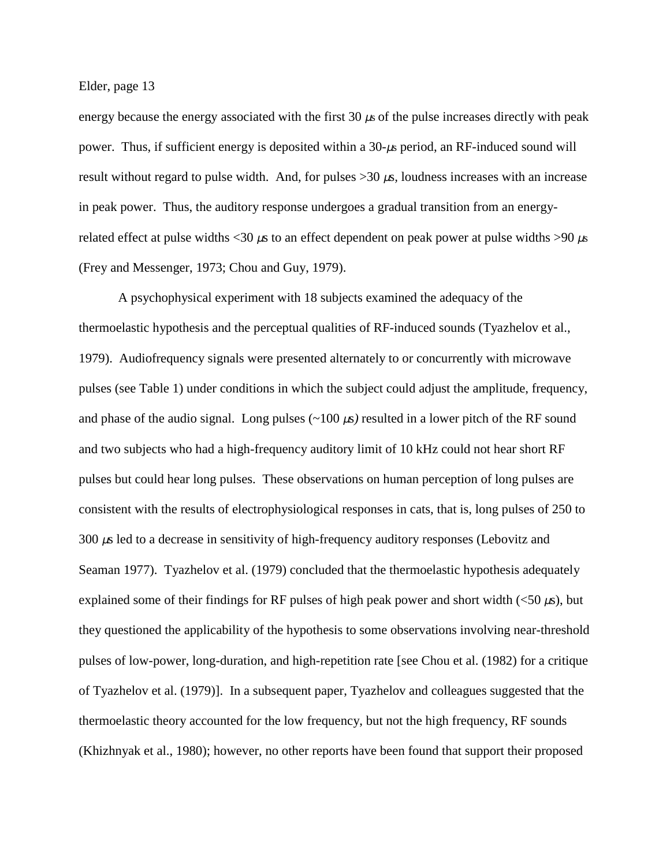energy because the energy associated with the first  $30 \mu s$  of the pulse increases directly with peak power. Thus, if sufficient energy is deposited within a 30*-*µs period, an RF-induced sound will result without regard to pulse width. And, for pulses >30 µs*,* loudness increases with an increase in peak power. Thus, the auditory response undergoes a gradual transition from an energyrelated effect at pulse widths <30  $\mu$ s to an effect dependent on peak power at pulse widths >90  $\mu$ s (Frey and Messenger, 1973; Chou and Guy, 1979).

A psychophysical experiment with 18 subjects examined the adequacy of the thermoelastic hypothesis and the perceptual qualities of RF-induced sounds (Tyazhelov et al., 1979). Audiofrequency signals were presented alternately to or concurrently with microwave pulses (see Table 1) under conditions in which the subject could adjust the amplitude, frequency, and phase of the audio signal. Long pulses  $(\sim 100 \,\mu s)$  resulted in a lower pitch of the RF sound and two subjects who had a high-frequency auditory limit of 10 kHz could not hear short RF pulses but could hear long pulses. These observations on human perception of long pulses are consistent with the results of electrophysiological responses in cats, that is, long pulses of 250 to 300 µs led to a decrease in sensitivity of high-frequency auditory responses (Lebovitz and Seaman 1977). Tyazhelov et al. (1979) concluded that the thermoelastic hypothesis adequately explained some of their findings for RF pulses of high peak power and short width  $\ll 50 \,\mu s$ ), but they questioned the applicability of the hypothesis to some observations involving near-threshold pulses of low-power, long-duration, and high-repetition rate [see Chou et al. (1982) for a critique of Tyazhelov et al. (1979)]. In a subsequent paper, Tyazhelov and colleagues suggested that the thermoelastic theory accounted for the low frequency, but not the high frequency, RF sounds (Khizhnyak et al., 1980); however, no other reports have been found that support their proposed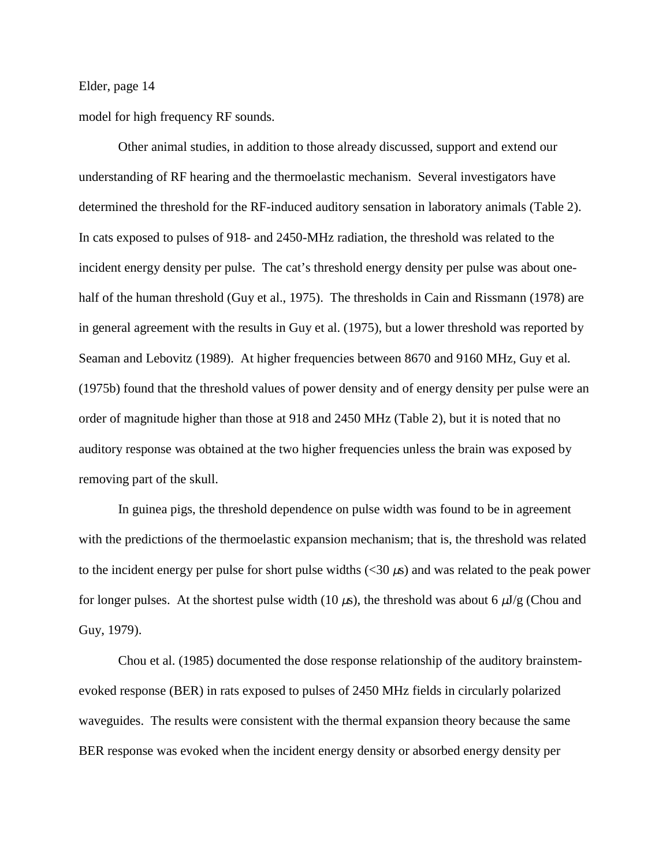model for high frequency RF sounds.

Other animal studies, in addition to those already discussed, support and extend our understanding of RF hearing and the thermoelastic mechanism. Several investigators have determined the threshold for the RF-induced auditory sensation in laboratory animals (Table 2). In cats exposed to pulses of 918- and 2450-MHz radiation, the threshold was related to the incident energy density per pulse. The cat's threshold energy density per pulse was about onehalf of the human threshold (Guy et al., 1975). The thresholds in Cain and Rissmann (1978) are in general agreement with the results in Guy et al. (1975), but a lower threshold was reported by Seaman and Lebovitz (1989). At higher frequencies between 8670 and 9160 MHz, Guy et al*.* (1975b) found that the threshold values of power density and of energy density per pulse were an order of magnitude higher than those at 918 and 2450 MHz (Table 2), but it is noted that no auditory response was obtained at the two higher frequencies unless the brain was exposed by removing part of the skull.

In guinea pigs, the threshold dependence on pulse width was found to be in agreement with the predictions of the thermoelastic expansion mechanism; that is, the threshold was related to the incident energy per pulse for short pulse widths  $\langle 30 \mu s \rangle$  and was related to the peak power for longer pulses. At the shortest pulse width (10  $\mu$ s), the threshold was about 6  $\mu$ J/g (Chou and Guy, 1979).

Chou et al. (1985) documented the dose response relationship of the auditory brainstemevoked response (BER) in rats exposed to pulses of 2450 MHz fields in circularly polarized waveguides. The results were consistent with the thermal expansion theory because the same BER response was evoked when the incident energy density or absorbed energy density per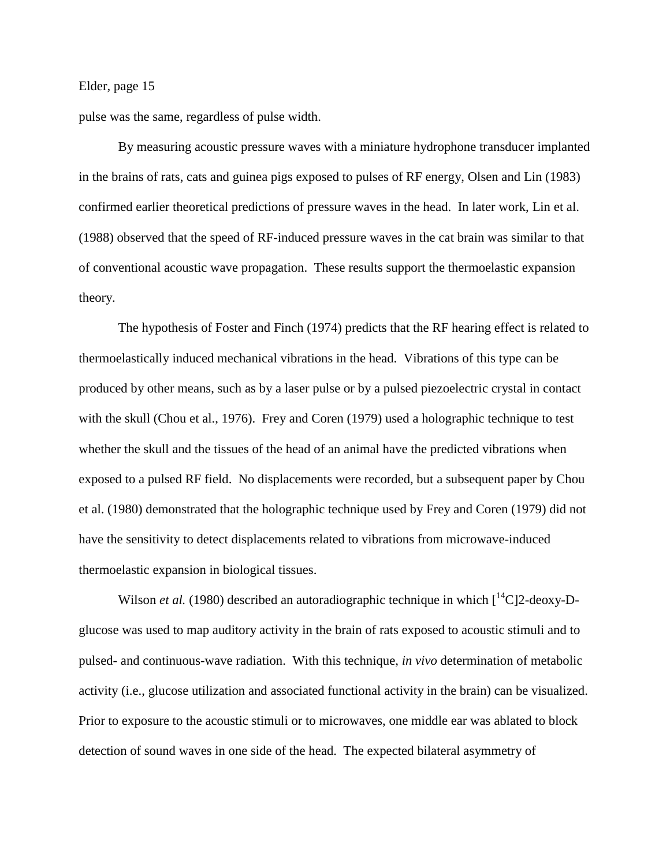pulse was the same, regardless of pulse width.

By measuring acoustic pressure waves with a miniature hydrophone transducer implanted in the brains of rats, cats and guinea pigs exposed to pulses of RF energy, Olsen and Lin (1983) confirmed earlier theoretical predictions of pressure waves in the head. In later work, Lin et al. (1988) observed that the speed of RF-induced pressure waves in the cat brain was similar to that of conventional acoustic wave propagation. These results support the thermoelastic expansion theory.

The hypothesis of Foster and Finch (1974) predicts that the RF hearing effect is related to thermoelastically induced mechanical vibrations in the head. Vibrations of this type can be produced by other means, such as by a laser pulse or by a pulsed piezoelectric crystal in contact with the skull (Chou et al., 1976). Frey and Coren (1979) used a holographic technique to test whether the skull and the tissues of the head of an animal have the predicted vibrations when exposed to a pulsed RF field. No displacements were recorded, but a subsequent paper by Chou et al. (1980) demonstrated that the holographic technique used by Frey and Coren (1979) did not have the sensitivity to detect displacements related to vibrations from microwave-induced thermoelastic expansion in biological tissues.

Wilson *et al.* (1980) described an autoradiographic technique in which  $\int_1^{14}C_1^2$ -deoxy-Dglucose was used to map auditory activity in the brain of rats exposed to acoustic stimuli and to pulsed- and continuous-wave radiation. With this technique, *in vivo* determination of metabolic activity (i.e., glucose utilization and associated functional activity in the brain) can be visualized. Prior to exposure to the acoustic stimuli or to microwaves, one middle ear was ablated to block detection of sound waves in one side of the head. The expected bilateral asymmetry of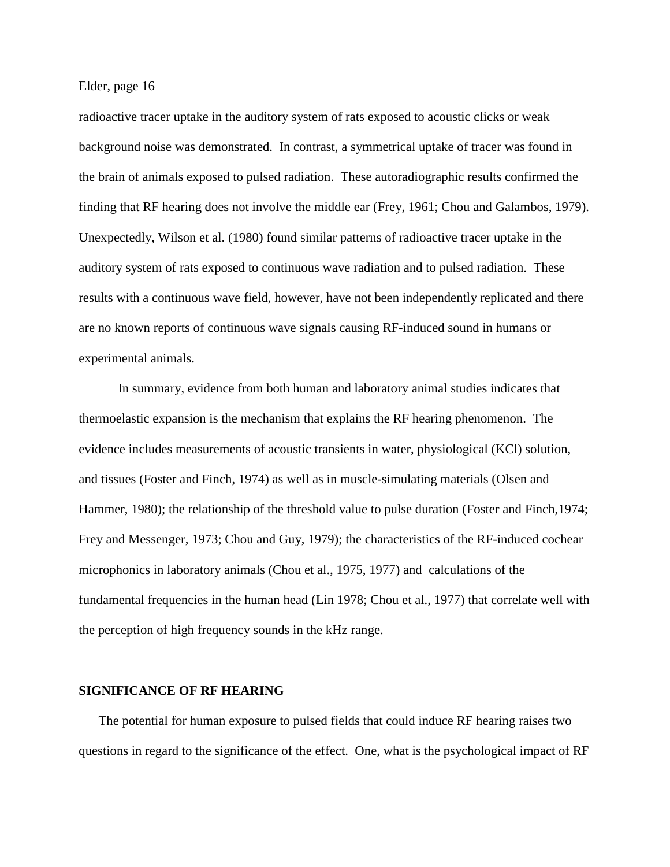radioactive tracer uptake in the auditory system of rats exposed to acoustic clicks or weak background noise was demonstrated. In contrast, a symmetrical uptake of tracer was found in the brain of animals exposed to pulsed radiation. These autoradiographic results confirmed the finding that RF hearing does not involve the middle ear (Frey, 1961; Chou and Galambos, 1979). Unexpectedly, Wilson et al. (1980) found similar patterns of radioactive tracer uptake in the auditory system of rats exposed to continuous wave radiation and to pulsed radiation. These results with a continuous wave field, however, have not been independently replicated and there are no known reports of continuous wave signals causing RF-induced sound in humans or experimental animals.

In summary, evidence from both human and laboratory animal studies indicates that thermoelastic expansion is the mechanism that explains the RF hearing phenomenon. The evidence includes measurements of acoustic transients in water, physiological (KCl) solution, and tissues (Foster and Finch, 1974) as well as in muscle-simulating materials (Olsen and Hammer, 1980); the relationship of the threshold value to pulse duration (Foster and Finch,1974; Frey and Messenger, 1973; Chou and Guy, 1979); the characteristics of the RF-induced cochear microphonics in laboratory animals (Chou et al., 1975, 1977) and calculations of the fundamental frequencies in the human head (Lin 1978; Chou et al., 1977) that correlate well with the perception of high frequency sounds in the kHz range.

#### **SIGNIFICANCE OF RF HEARING**

 The potential for human exposure to pulsed fields that could induce RF hearing raises two questions in regard to the significance of the effect. One, what is the psychological impact of RF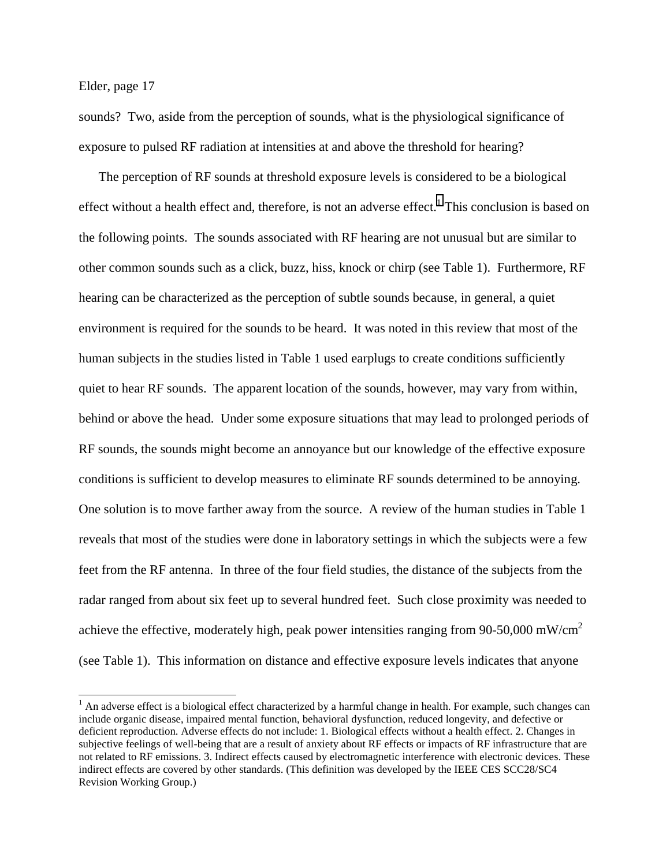l

sounds? Two, aside from the perception of sounds, what is the physiological significance of exposure to pulsed RF radiation at intensities at and above the threshold for hearing?

 The perception of RF sounds at threshold exposure levels is considered to be a biological effect without a health effect and, therefore, is not an adverse effect.<sup>1</sup> This conclusion is based on the following points. The sounds associated with RF hearing are not unusual but are similar to other common sounds such as a click, buzz, hiss, knock or chirp (see Table 1). Furthermore, RF hearing can be characterized as the perception of subtle sounds because, in general, a quiet environment is required for the sounds to be heard. It was noted in this review that most of the human subjects in the studies listed in Table 1 used earplugs to create conditions sufficiently quiet to hear RF sounds. The apparent location of the sounds, however, may vary from within, behind or above the head. Under some exposure situations that may lead to prolonged periods of RF sounds, the sounds might become an annoyance but our knowledge of the effective exposure conditions is sufficient to develop measures to eliminate RF sounds determined to be annoying. One solution is to move farther away from the source. A review of the human studies in Table 1 reveals that most of the studies were done in laboratory settings in which the subjects were a few feet from the RF antenna. In three of the four field studies, the distance of the subjects from the radar ranged from about six feet up to several hundred feet. Such close proximity was needed to achieve the effective, moderately high, peak power intensities ranging from 90-50,000 mW/cm2 (see Table 1). This information on distance and effective exposure levels indicates that anyone

 $<sup>1</sup>$  An adverse effect is a biological effect characterized by a harmful change in health. For example, such changes can</sup> include organic disease, impaired mental function, behavioral dysfunction, reduced longevity, and defective or deficient reproduction. Adverse effects do not include: 1. Biological effects without a health effect. 2. Changes in subjective feelings of well-being that are a result of anxiety about RF effects or impacts of RF infrastructure that are not related to RF emissions. 3. Indirect effects caused by electromagnetic interference with electronic devices. These indirect effects are covered by other standards. (This definition was developed by the IEEE CES SCC28/SC4 Revision Working Group.)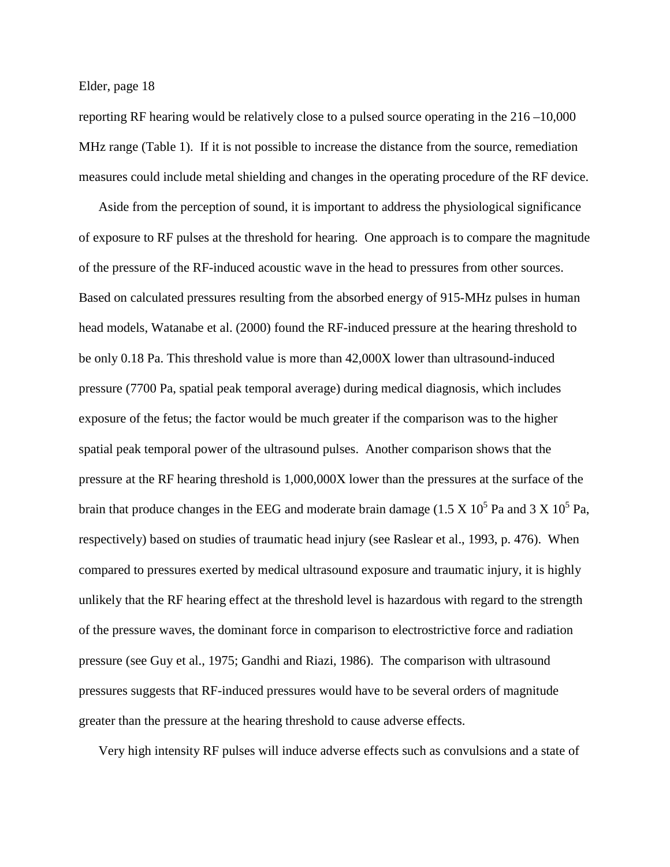reporting RF hearing would be relatively close to a pulsed source operating in the 216 –10,000 MHz range (Table 1). If it is not possible to increase the distance from the source, remediation measures could include metal shielding and changes in the operating procedure of the RF device.

 Aside from the perception of sound, it is important to address the physiological significance of exposure to RF pulses at the threshold for hearing. One approach is to compare the magnitude of the pressure of the RF-induced acoustic wave in the head to pressures from other sources. Based on calculated pressures resulting from the absorbed energy of 915-MHz pulses in human head models, Watanabe et al. (2000) found the RF-induced pressure at the hearing threshold to be only 0.18 Pa. This threshold value is more than 42,000X lower than ultrasound-induced pressure (7700 Pa, spatial peak temporal average) during medical diagnosis, which includes exposure of the fetus; the factor would be much greater if the comparison was to the higher spatial peak temporal power of the ultrasound pulses. Another comparison shows that the pressure at the RF hearing threshold is 1,000,000X lower than the pressures at the surface of the brain that produce changes in the EEG and moderate brain damage (1.5 X  $10^5$  Pa and 3 X  $10^5$  Pa, respectively) based on studies of traumatic head injury (see Raslear et al., 1993, p. 476). When compared to pressures exerted by medical ultrasound exposure and traumatic injury, it is highly unlikely that the RF hearing effect at the threshold level is hazardous with regard to the strength of the pressure waves, the dominant force in comparison to electrostrictive force and radiation pressure (see Guy et al., 1975; Gandhi and Riazi, 1986). The comparison with ultrasound pressures suggests that RF-induced pressures would have to be several orders of magnitude greater than the pressure at the hearing threshold to cause adverse effects.

Very high intensity RF pulses will induce adverse effects such as convulsions and a state of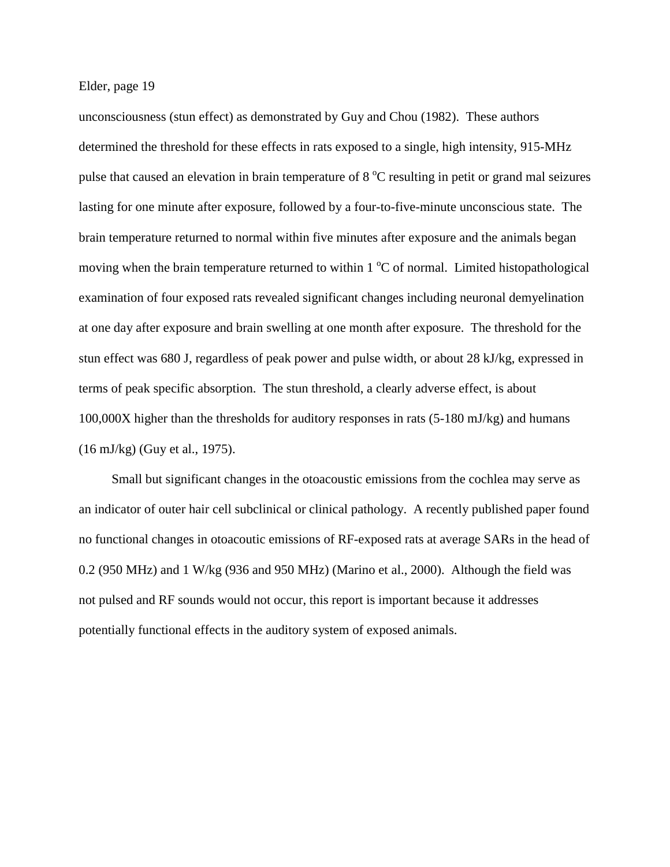unconsciousness (stun effect) as demonstrated by Guy and Chou (1982). These authors determined the threshold for these effects in rats exposed to a single, high intensity, 915-MHz pulse that caused an elevation in brain temperature of 8  $^{\circ}$ C resulting in petit or grand mal seizures lasting for one minute after exposure, followed by a four-to-five-minute unconscious state. The brain temperature returned to normal within five minutes after exposure and the animals began moving when the brain temperature returned to within  $1^{\circ}$ C of normal. Limited histopathological examination of four exposed rats revealed significant changes including neuronal demyelination at one day after exposure and brain swelling at one month after exposure. The threshold for the stun effect was 680 J, regardless of peak power and pulse width, or about 28 kJ/kg, expressed in terms of peak specific absorption. The stun threshold, a clearly adverse effect, is about 100,000X higher than the thresholds for auditory responses in rats (5-180 mJ/kg) and humans (16 mJ/kg) (Guy et al., 1975).

 Small but significant changes in the otoacoustic emissions from the cochlea may serve as an indicator of outer hair cell subclinical or clinical pathology. A recently published paper found no functional changes in otoacoutic emissions of RF-exposed rats at average SARs in the head of 0.2 (950 MHz) and 1 W/kg (936 and 950 MHz) (Marino et al., 2000). Although the field was not pulsed and RF sounds would not occur, this report is important because it addresses potentially functional effects in the auditory system of exposed animals.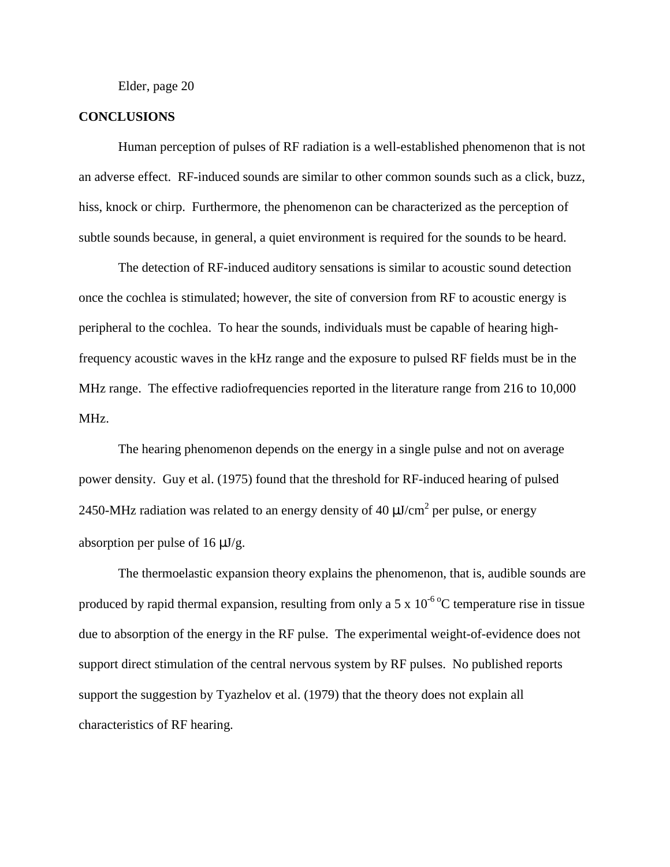#### **CONCLUSIONS**

Human perception of pulses of RF radiation is a well-established phenomenon that is not an adverse effect. RF-induced sounds are similar to other common sounds such as a click, buzz, hiss, knock or chirp. Furthermore, the phenomenon can be characterized as the perception of subtle sounds because, in general, a quiet environment is required for the sounds to be heard.

The detection of RF-induced auditory sensations is similar to acoustic sound detection once the cochlea is stimulated; however, the site of conversion from RF to acoustic energy is peripheral to the cochlea. To hear the sounds, individuals must be capable of hearing highfrequency acoustic waves in the kHz range and the exposure to pulsed RF fields must be in the MHz range. The effective radiofrequencies reported in the literature range from 216 to 10,000 MHz.

The hearing phenomenon depends on the energy in a single pulse and not on average power density. Guy et al. (1975) found that the threshold for RF-induced hearing of pulsed 2450-MHz radiation was related to an energy density of 40  $\mu$ J/cm<sup>2</sup> per pulse, or energy absorption per pulse of  $16 \mu J/g$ .

The thermoelastic expansion theory explains the phenomenon, that is, audible sounds are produced by rapid thermal expansion, resulting from only a 5 x  $10^{-6}$ °C temperature rise in tissue due to absorption of the energy in the RF pulse. The experimental weight-of-evidence does not support direct stimulation of the central nervous system by RF pulses. No published reports support the suggestion by Tyazhelov et al. (1979) that the theory does not explain all characteristics of RF hearing.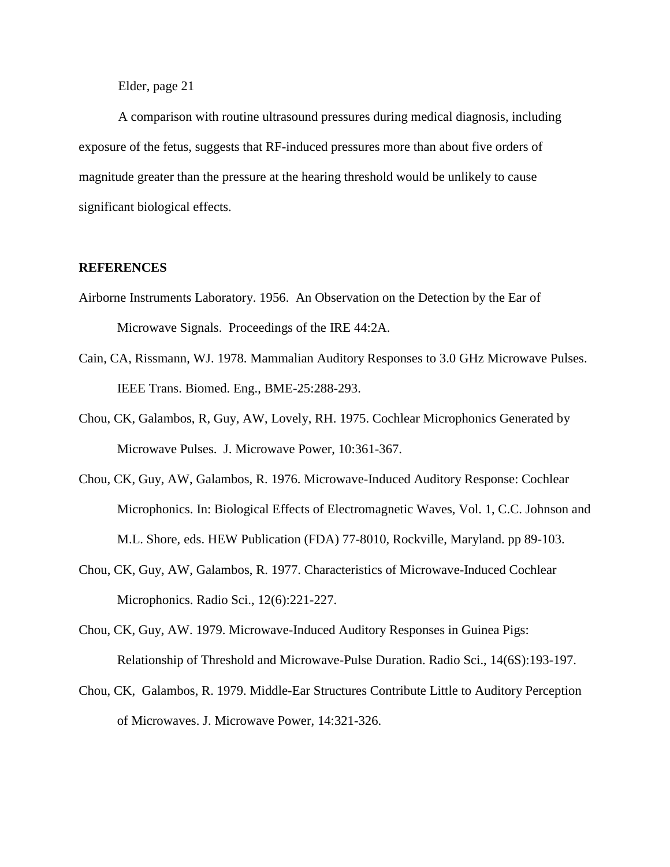A comparison with routine ultrasound pressures during medical diagnosis, including exposure of the fetus, suggests that RF-induced pressures more than about five orders of magnitude greater than the pressure at the hearing threshold would be unlikely to cause significant biological effects.

#### **REFERENCES**

- Airborne Instruments Laboratory. 1956. An Observation on the Detection by the Ear of Microwave Signals. Proceedings of the IRE 44:2A.
- Cain, CA, Rissmann, WJ. 1978. Mammalian Auditory Responses to 3.0 GHz Microwave Pulses. IEEE Trans. Biomed. Eng., BME-25:288-293.
- Chou, CK, Galambos, R, Guy, AW, Lovely, RH. 1975. Cochlear Microphonics Generated by Microwave Pulses. J. Microwave Power, 10:361-367.
- Chou, CK, Guy, AW, Galambos, R. 1976. Microwave-Induced Auditory Response: Cochlear Microphonics. In: Biological Effects of Electromagnetic Waves, Vol. 1, C.C. Johnson and M.L. Shore, eds. HEW Publication (FDA) 77-8010, Rockville, Maryland. pp 89-103.
- Chou, CK, Guy, AW, Galambos, R. 1977. Characteristics of Microwave-Induced Cochlear Microphonics. Radio Sci., 12(6):221-227.
- Chou, CK, Guy, AW. 1979. Microwave-Induced Auditory Responses in Guinea Pigs: Relationship of Threshold and Microwave-Pulse Duration. Radio Sci., 14(6S):193-197.
- Chou, CK, Galambos, R. 1979. Middle-Ear Structures Contribute Little to Auditory Perception of Microwaves. J. Microwave Power, 14:321-326.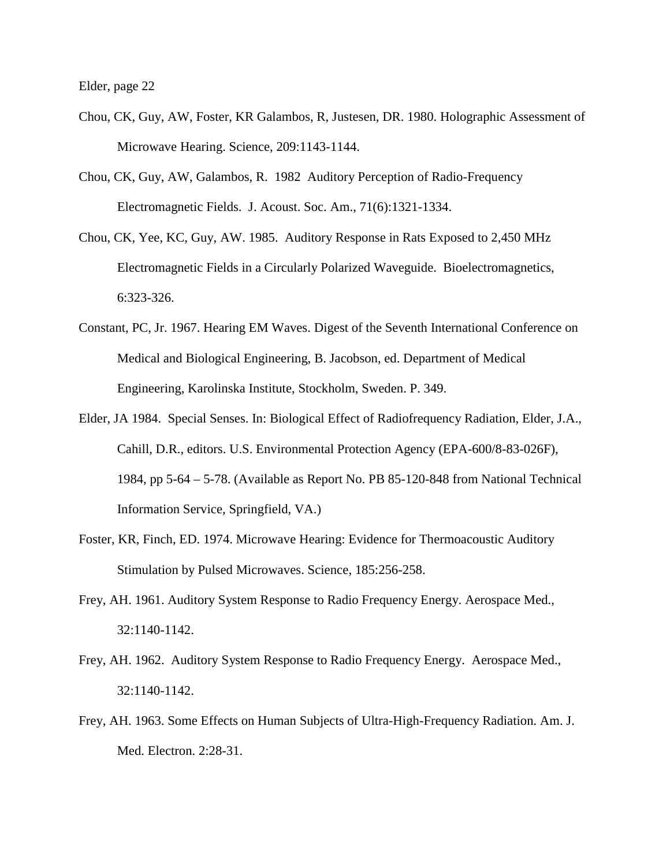- Chou, CK, Guy, AW, Foster, KR Galambos, R, Justesen, DR. 1980. Holographic Assessment of Microwave Hearing. Science, 209:1143-1144.
- Chou, CK, Guy, AW, Galambos, R. 1982 Auditory Perception of Radio-Frequency Electromagnetic Fields. J. Acoust. Soc. Am., 71(6):1321-1334.
- Chou, CK, Yee, KC, Guy, AW. 1985. Auditory Response in Rats Exposed to 2,450 MHz Electromagnetic Fields in a Circularly Polarized Waveguide. Bioelectromagnetics, 6:323-326.
- Constant, PC, Jr. 1967. Hearing EM Waves. Digest of the Seventh International Conference on Medical and Biological Engineering, B. Jacobson, ed. Department of Medical Engineering, Karolinska Institute, Stockholm, Sweden. P. 349.
- Elder, JA 1984. Special Senses. In: Biological Effect of Radiofrequency Radiation, Elder, J.A., Cahill, D.R., editors. U.S. Environmental Protection Agency (EPA-600/8-83-026F), 1984, pp 5-64 – 5-78. (Available as Report No. PB 85-120-848 from National Technical Information Service, Springfield, VA.)
- Foster, KR, Finch, ED. 1974. Microwave Hearing: Evidence for Thermoacoustic Auditory Stimulation by Pulsed Microwaves. Science, 185:256-258.
- Frey, AH. 1961. Auditory System Response to Radio Frequency Energy. Aerospace Med., 32:1140-1142.
- Frey, AH. 1962. Auditory System Response to Radio Frequency Energy. Aerospace Med., 32:1140-1142.
- Frey, AH. 1963. Some Effects on Human Subjects of Ultra-High-Frequency Radiation. Am. J. Med. Electron. 2:28-31.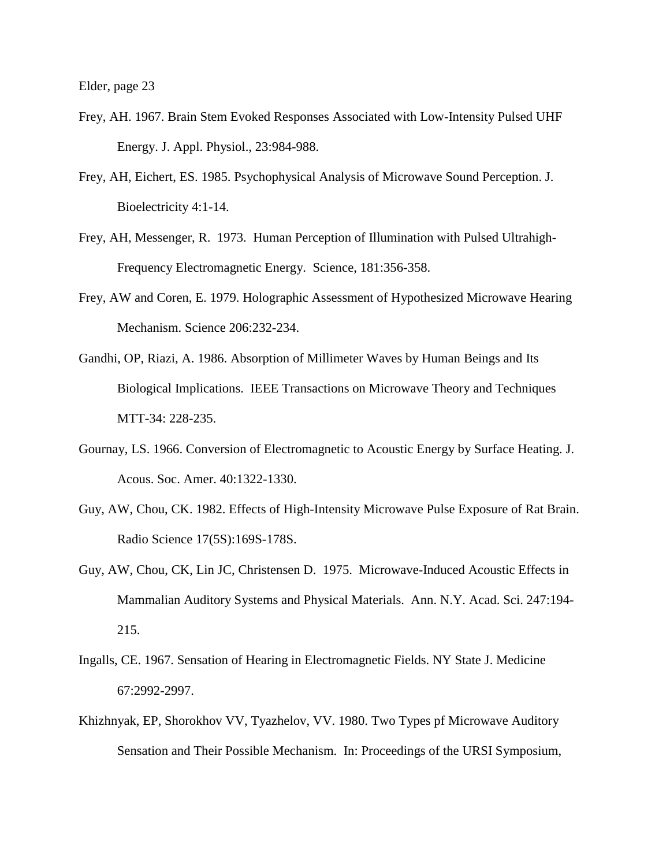- Frey, AH. 1967. Brain Stem Evoked Responses Associated with Low-Intensity Pulsed UHF Energy. J. Appl. Physiol., 23:984-988.
- Frey, AH, Eichert, ES. 1985. Psychophysical Analysis of Microwave Sound Perception. J. Bioelectricity 4:1-14.
- Frey, AH, Messenger, R. 1973. Human Perception of Illumination with Pulsed Ultrahigh-Frequency Electromagnetic Energy. Science, 181:356-358.
- Frey, AW and Coren, E. 1979. Holographic Assessment of Hypothesized Microwave Hearing Mechanism. Science 206:232-234.
- Gandhi, OP, Riazi, A. 1986. Absorption of Millimeter Waves by Human Beings and Its Biological Implications. IEEE Transactions on Microwave Theory and Techniques MTT-34: 228-235.
- Gournay, LS. 1966. Conversion of Electromagnetic to Acoustic Energy by Surface Heating. J. Acous. Soc. Amer. 40:1322-1330.
- Guy, AW, Chou, CK. 1982. Effects of High-Intensity Microwave Pulse Exposure of Rat Brain. Radio Science 17(5S):169S-178S.
- Guy, AW, Chou, CK, Lin JC, Christensen D. 1975. Microwave-Induced Acoustic Effects in Mammalian Auditory Systems and Physical Materials. Ann. N.Y. Acad. Sci. 247:194- 215.
- Ingalls, CE. 1967. Sensation of Hearing in Electromagnetic Fields. NY State J. Medicine 67:2992-2997.
- Khizhnyak, EP, Shorokhov VV, Tyazhelov, VV. 1980. Two Types pf Microwave Auditory Sensation and Their Possible Mechanism. In: Proceedings of the URSI Symposium,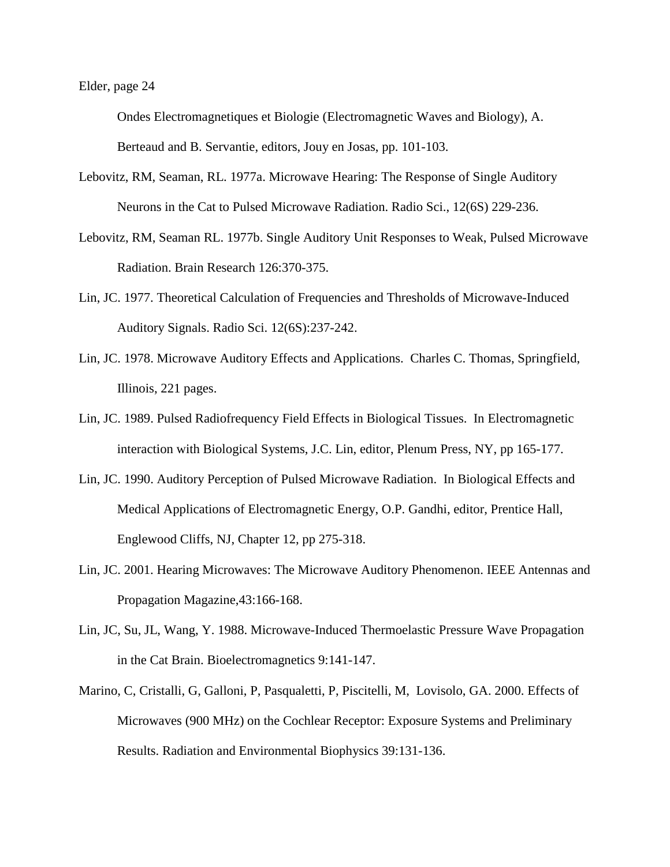Ondes Electromagnetiques et Biologie (Electromagnetic Waves and Biology), A. Berteaud and B. Servantie, editors, Jouy en Josas, pp. 101-103.

- Lebovitz, RM, Seaman, RL. 1977a. Microwave Hearing: The Response of Single Auditory Neurons in the Cat to Pulsed Microwave Radiation. Radio Sci., 12(6S) 229-236.
- Lebovitz, RM, Seaman RL. 1977b. Single Auditory Unit Responses to Weak, Pulsed Microwave Radiation. Brain Research 126:370-375.
- Lin, JC. 1977. Theoretical Calculation of Frequencies and Thresholds of Microwave-Induced Auditory Signals. Radio Sci. 12(6S):237-242.
- Lin, JC. 1978. Microwave Auditory Effects and Applications. Charles C. Thomas, Springfield, Illinois, 221 pages.
- Lin, JC. 1989. Pulsed Radiofrequency Field Effects in Biological Tissues. In Electromagnetic interaction with Biological Systems, J.C. Lin, editor, Plenum Press, NY, pp 165-177.
- Lin, JC. 1990. Auditory Perception of Pulsed Microwave Radiation. In Biological Effects and Medical Applications of Electromagnetic Energy, O.P. Gandhi, editor, Prentice Hall, Englewood Cliffs, NJ, Chapter 12, pp 275-318.
- Lin, JC. 2001. Hearing Microwaves: The Microwave Auditory Phenomenon. IEEE Antennas and Propagation Magazine,43:166-168.
- Lin, JC, Su, JL, Wang, Y. 1988. Microwave-Induced Thermoelastic Pressure Wave Propagation in the Cat Brain. Bioelectromagnetics 9:141-147.
- Marino, C, Cristalli, G, Galloni, P, Pasqualetti, P, Piscitelli, M, Lovisolo, GA. 2000. Effects of Microwaves (900 MHz) on the Cochlear Receptor: Exposure Systems and Preliminary Results. Radiation and Environmental Biophysics 39:131-136.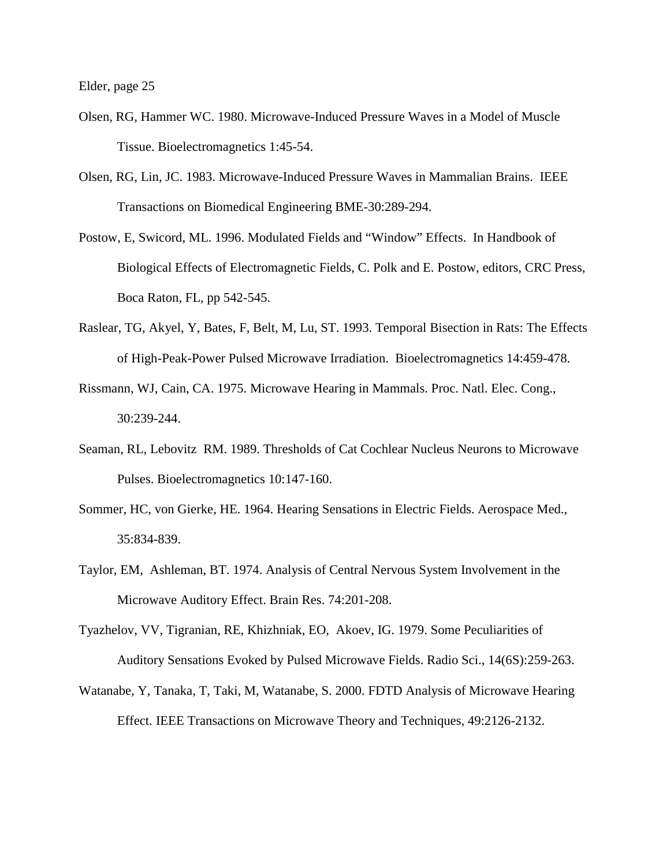- Olsen, RG, Hammer WC. 1980. Microwave-Induced Pressure Waves in a Model of Muscle Tissue. Bioelectromagnetics 1:45-54.
- Olsen, RG, Lin, JC. 1983. Microwave-Induced Pressure Waves in Mammalian Brains. IEEE Transactions on Biomedical Engineering BME-30:289-294.
- Postow, E, Swicord, ML. 1996. Modulated Fields and "Window" Effects. In Handbook of Biological Effects of Electromagnetic Fields, C. Polk and E. Postow, editors, CRC Press, Boca Raton, FL, pp 542-545.
- Raslear, TG, Akyel, Y, Bates, F, Belt, M, Lu, ST. 1993. Temporal Bisection in Rats: The Effects of High-Peak-Power Pulsed Microwave Irradiation. Bioelectromagnetics 14:459-478.
- Rissmann, WJ, Cain, CA. 1975. Microwave Hearing in Mammals. Proc. Natl. Elec. Cong., 30:239-244.
- Seaman, RL, Lebovitz RM. 1989. Thresholds of Cat Cochlear Nucleus Neurons to Microwave Pulses. Bioelectromagnetics 10:147-160.
- Sommer, HC, von Gierke, HE. 1964. Hearing Sensations in Electric Fields. Aerospace Med., 35:834-839.
- Taylor, EM, Ashleman, BT. 1974. Analysis of Central Nervous System Involvement in the Microwave Auditory Effect. Brain Res. 74:201-208.
- Tyazhelov, VV, Tigranian, RE, Khizhniak, EO, Akoev, IG. 1979. Some Peculiarities of Auditory Sensations Evoked by Pulsed Microwave Fields. Radio Sci., 14(6S):259-263.
- Watanabe, Y, Tanaka, T, Taki, M, Watanabe, S. 2000. FDTD Analysis of Microwave Hearing Effect. IEEE Transactions on Microwave Theory and Techniques, 49:2126-2132.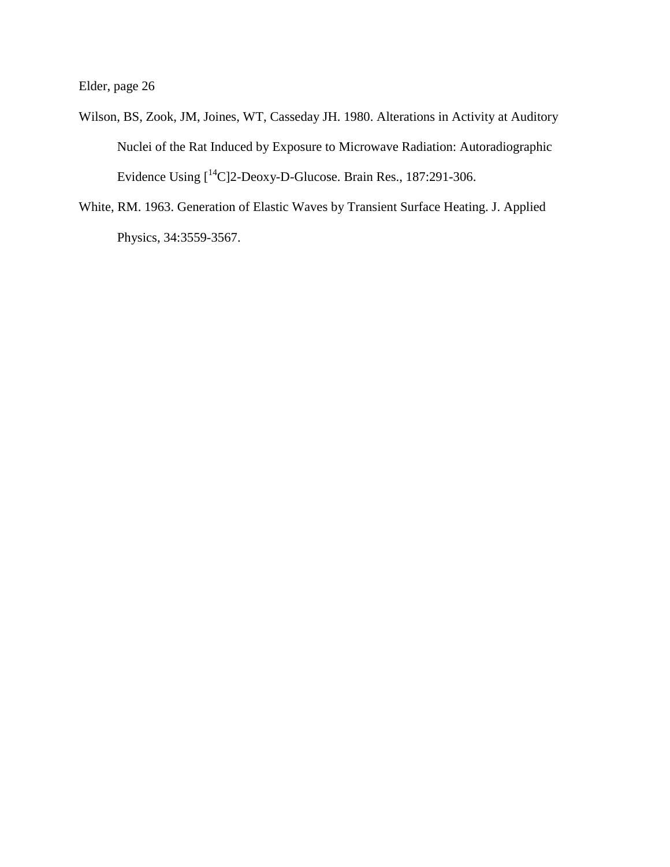- Wilson, BS, Zook, JM, Joines, WT, Casseday JH. 1980. Alterations in Activity at Auditory Nuclei of the Rat Induced by Exposure to Microwave Radiation: Autoradiographic Evidence Using [14C]2-Deoxy-D-Glucose. Brain Res., 187:291-306.
- White, RM. 1963. Generation of Elastic Waves by Transient Surface Heating. J. Applied Physics, 34:3559-3567.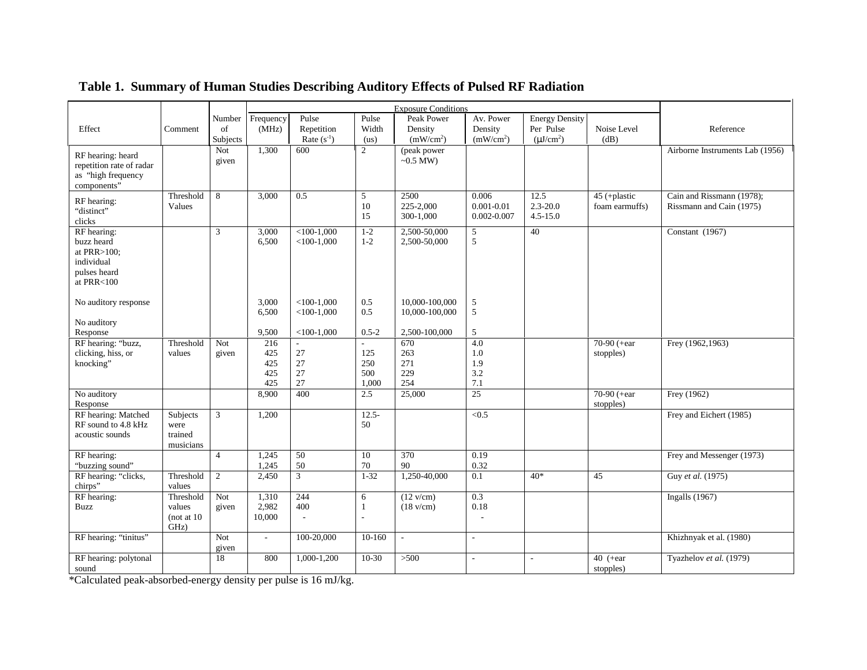| Frequency<br>Pulse<br><b>Energy Density</b><br>Pulse<br>Peak Power<br>Av. Power<br>Number<br>Per Pulse<br>of<br>(MHz)<br>Repetition<br>Width<br>Density<br>Noise Level<br>Reference<br>Effect<br>Density<br>Comment<br>(mW/cm <sup>2</sup> )<br>Rate $(s^{-1})$<br>(mW/cm <sup>2</sup> )<br>$(\mu J/cm^2)$<br>Subjects<br>(dB)<br>(us)<br>$\overline{2}$<br>Not<br>1,300<br>$\overline{600}$<br>(peak power<br>Airborne Instruments Lab (1956)<br>RF hearing: heard<br>$\sim 0.5$ MW)<br>given<br>repetition rate of radar<br>as "high frequency<br>components"<br>8<br>0.5<br>5<br>2500<br>12.5<br>Cain and Rissmann (1978);<br>Threshold<br>3,000<br>0.006<br>45 (+plastic<br>RF hearing:<br>225-2,000<br>$0.001 - 0.01$<br>$2.3 - 20.0$<br>10<br>foam earmuffs)<br>Rissmann and Cain (1975)<br>Values<br>"distinct"<br>15<br>300-1,000<br>0.002-0.007<br>$4.5 - 15.0$<br>clicks<br>$<$ 100-1.000<br>$1 - 2$<br>2,500-50,000<br>Constant (1967)<br>RF hearing:<br>3<br>3,000<br>5<br>40<br>5<br>buzz heard<br>$<$ 100-1,000<br>$1 - 2$<br>2,500-50,000<br>6,500<br>at PRR $>100$ ;<br>individual<br>pulses heard<br>at PRR<100<br>3,000<br>$<$ 100-1,000<br>10,000-100,000<br>5<br>No auditory response<br>0.5<br>5<br>6,500<br>$<$ 100-1,000<br>0.5<br>10,000-100,000<br>No auditory<br>5<br>$0.5 - 2$<br>Response<br>9,500<br>$<$ 100-1.000<br>2,500-100,000<br>$\overline{4.0}$<br>70-90 (+ear)<br>RF hearing: "buzz,<br>Threshold<br>216<br>670<br>Frey (1962,1963)<br>Not<br>27<br>clicking, hiss, or<br>125<br>425<br>263<br>1.0<br>stopples)<br>values<br>given<br>knocking"<br>425<br>27<br>250<br>271<br>1.9<br>27<br>229<br>3.2<br>425<br>500<br>$27\,$<br>254<br>7.1<br>425<br>1,000<br>25<br>70-90 (+ear<br>No auditory<br>8,900<br>400<br>2.5<br>25,000<br>Frey (1962)<br>stopples)<br>Response<br>$\overline{3}$<br>RF hearing: Matched<br>Subjects<br>1,200<br>$12.5 -$<br>< 0.5<br>Frey and Eichert (1985)<br>RF sound to 4.8 kHz<br>50<br>were<br>acoustic sounds<br>trained<br>musicians<br>RF hearing:<br>$\overline{4}$<br>50<br>10<br>370<br>0.19<br>Frey and Messenger (1973)<br>1,245<br>"buzzing sound"<br>50<br>70<br>90<br>0.32<br>1,245<br>RF hearing: "clicks,<br>$\mathfrak{Z}$<br>1,250-40,000<br>Threshold<br>2<br>2,450<br>$1 - 32$<br>0.1<br>$40*$<br>45<br>Guy et al. (1975)<br>chirps"<br>values |  | <b>Exposure Conditions</b> |  |  |  |  |  |  |  |
|---------------------------------------------------------------------------------------------------------------------------------------------------------------------------------------------------------------------------------------------------------------------------------------------------------------------------------------------------------------------------------------------------------------------------------------------------------------------------------------------------------------------------------------------------------------------------------------------------------------------------------------------------------------------------------------------------------------------------------------------------------------------------------------------------------------------------------------------------------------------------------------------------------------------------------------------------------------------------------------------------------------------------------------------------------------------------------------------------------------------------------------------------------------------------------------------------------------------------------------------------------------------------------------------------------------------------------------------------------------------------------------------------------------------------------------------------------------------------------------------------------------------------------------------------------------------------------------------------------------------------------------------------------------------------------------------------------------------------------------------------------------------------------------------------------------------------------------------------------------------------------------------------------------------------------------------------------------------------------------------------------------------------------------------------------------------------------------------------------------------------------------------------------------------------------------------------------------------------------------------------------------------------------------------------------------------------------------|--|----------------------------|--|--|--|--|--|--|--|
|                                                                                                                                                                                                                                                                                                                                                                                                                                                                                                                                                                                                                                                                                                                                                                                                                                                                                                                                                                                                                                                                                                                                                                                                                                                                                                                                                                                                                                                                                                                                                                                                                                                                                                                                                                                                                                                                                                                                                                                                                                                                                                                                                                                                                                                                                                                                       |  |                            |  |  |  |  |  |  |  |
|                                                                                                                                                                                                                                                                                                                                                                                                                                                                                                                                                                                                                                                                                                                                                                                                                                                                                                                                                                                                                                                                                                                                                                                                                                                                                                                                                                                                                                                                                                                                                                                                                                                                                                                                                                                                                                                                                                                                                                                                                                                                                                                                                                                                                                                                                                                                       |  |                            |  |  |  |  |  |  |  |
|                                                                                                                                                                                                                                                                                                                                                                                                                                                                                                                                                                                                                                                                                                                                                                                                                                                                                                                                                                                                                                                                                                                                                                                                                                                                                                                                                                                                                                                                                                                                                                                                                                                                                                                                                                                                                                                                                                                                                                                                                                                                                                                                                                                                                                                                                                                                       |  |                            |  |  |  |  |  |  |  |
|                                                                                                                                                                                                                                                                                                                                                                                                                                                                                                                                                                                                                                                                                                                                                                                                                                                                                                                                                                                                                                                                                                                                                                                                                                                                                                                                                                                                                                                                                                                                                                                                                                                                                                                                                                                                                                                                                                                                                                                                                                                                                                                                                                                                                                                                                                                                       |  |                            |  |  |  |  |  |  |  |
|                                                                                                                                                                                                                                                                                                                                                                                                                                                                                                                                                                                                                                                                                                                                                                                                                                                                                                                                                                                                                                                                                                                                                                                                                                                                                                                                                                                                                                                                                                                                                                                                                                                                                                                                                                                                                                                                                                                                                                                                                                                                                                                                                                                                                                                                                                                                       |  |                            |  |  |  |  |  |  |  |
|                                                                                                                                                                                                                                                                                                                                                                                                                                                                                                                                                                                                                                                                                                                                                                                                                                                                                                                                                                                                                                                                                                                                                                                                                                                                                                                                                                                                                                                                                                                                                                                                                                                                                                                                                                                                                                                                                                                                                                                                                                                                                                                                                                                                                                                                                                                                       |  |                            |  |  |  |  |  |  |  |
|                                                                                                                                                                                                                                                                                                                                                                                                                                                                                                                                                                                                                                                                                                                                                                                                                                                                                                                                                                                                                                                                                                                                                                                                                                                                                                                                                                                                                                                                                                                                                                                                                                                                                                                                                                                                                                                                                                                                                                                                                                                                                                                                                                                                                                                                                                                                       |  |                            |  |  |  |  |  |  |  |
|                                                                                                                                                                                                                                                                                                                                                                                                                                                                                                                                                                                                                                                                                                                                                                                                                                                                                                                                                                                                                                                                                                                                                                                                                                                                                                                                                                                                                                                                                                                                                                                                                                                                                                                                                                                                                                                                                                                                                                                                                                                                                                                                                                                                                                                                                                                                       |  |                            |  |  |  |  |  |  |  |
|                                                                                                                                                                                                                                                                                                                                                                                                                                                                                                                                                                                                                                                                                                                                                                                                                                                                                                                                                                                                                                                                                                                                                                                                                                                                                                                                                                                                                                                                                                                                                                                                                                                                                                                                                                                                                                                                                                                                                                                                                                                                                                                                                                                                                                                                                                                                       |  |                            |  |  |  |  |  |  |  |
|                                                                                                                                                                                                                                                                                                                                                                                                                                                                                                                                                                                                                                                                                                                                                                                                                                                                                                                                                                                                                                                                                                                                                                                                                                                                                                                                                                                                                                                                                                                                                                                                                                                                                                                                                                                                                                                                                                                                                                                                                                                                                                                                                                                                                                                                                                                                       |  |                            |  |  |  |  |  |  |  |
|                                                                                                                                                                                                                                                                                                                                                                                                                                                                                                                                                                                                                                                                                                                                                                                                                                                                                                                                                                                                                                                                                                                                                                                                                                                                                                                                                                                                                                                                                                                                                                                                                                                                                                                                                                                                                                                                                                                                                                                                                                                                                                                                                                                                                                                                                                                                       |  |                            |  |  |  |  |  |  |  |
|                                                                                                                                                                                                                                                                                                                                                                                                                                                                                                                                                                                                                                                                                                                                                                                                                                                                                                                                                                                                                                                                                                                                                                                                                                                                                                                                                                                                                                                                                                                                                                                                                                                                                                                                                                                                                                                                                                                                                                                                                                                                                                                                                                                                                                                                                                                                       |  |                            |  |  |  |  |  |  |  |
|                                                                                                                                                                                                                                                                                                                                                                                                                                                                                                                                                                                                                                                                                                                                                                                                                                                                                                                                                                                                                                                                                                                                                                                                                                                                                                                                                                                                                                                                                                                                                                                                                                                                                                                                                                                                                                                                                                                                                                                                                                                                                                                                                                                                                                                                                                                                       |  |                            |  |  |  |  |  |  |  |
|                                                                                                                                                                                                                                                                                                                                                                                                                                                                                                                                                                                                                                                                                                                                                                                                                                                                                                                                                                                                                                                                                                                                                                                                                                                                                                                                                                                                                                                                                                                                                                                                                                                                                                                                                                                                                                                                                                                                                                                                                                                                                                                                                                                                                                                                                                                                       |  |                            |  |  |  |  |  |  |  |
|                                                                                                                                                                                                                                                                                                                                                                                                                                                                                                                                                                                                                                                                                                                                                                                                                                                                                                                                                                                                                                                                                                                                                                                                                                                                                                                                                                                                                                                                                                                                                                                                                                                                                                                                                                                                                                                                                                                                                                                                                                                                                                                                                                                                                                                                                                                                       |  |                            |  |  |  |  |  |  |  |
|                                                                                                                                                                                                                                                                                                                                                                                                                                                                                                                                                                                                                                                                                                                                                                                                                                                                                                                                                                                                                                                                                                                                                                                                                                                                                                                                                                                                                                                                                                                                                                                                                                                                                                                                                                                                                                                                                                                                                                                                                                                                                                                                                                                                                                                                                                                                       |  |                            |  |  |  |  |  |  |  |
|                                                                                                                                                                                                                                                                                                                                                                                                                                                                                                                                                                                                                                                                                                                                                                                                                                                                                                                                                                                                                                                                                                                                                                                                                                                                                                                                                                                                                                                                                                                                                                                                                                                                                                                                                                                                                                                                                                                                                                                                                                                                                                                                                                                                                                                                                                                                       |  |                            |  |  |  |  |  |  |  |
|                                                                                                                                                                                                                                                                                                                                                                                                                                                                                                                                                                                                                                                                                                                                                                                                                                                                                                                                                                                                                                                                                                                                                                                                                                                                                                                                                                                                                                                                                                                                                                                                                                                                                                                                                                                                                                                                                                                                                                                                                                                                                                                                                                                                                                                                                                                                       |  |                            |  |  |  |  |  |  |  |
|                                                                                                                                                                                                                                                                                                                                                                                                                                                                                                                                                                                                                                                                                                                                                                                                                                                                                                                                                                                                                                                                                                                                                                                                                                                                                                                                                                                                                                                                                                                                                                                                                                                                                                                                                                                                                                                                                                                                                                                                                                                                                                                                                                                                                                                                                                                                       |  |                            |  |  |  |  |  |  |  |
|                                                                                                                                                                                                                                                                                                                                                                                                                                                                                                                                                                                                                                                                                                                                                                                                                                                                                                                                                                                                                                                                                                                                                                                                                                                                                                                                                                                                                                                                                                                                                                                                                                                                                                                                                                                                                                                                                                                                                                                                                                                                                                                                                                                                                                                                                                                                       |  |                            |  |  |  |  |  |  |  |
|                                                                                                                                                                                                                                                                                                                                                                                                                                                                                                                                                                                                                                                                                                                                                                                                                                                                                                                                                                                                                                                                                                                                                                                                                                                                                                                                                                                                                                                                                                                                                                                                                                                                                                                                                                                                                                                                                                                                                                                                                                                                                                                                                                                                                                                                                                                                       |  |                            |  |  |  |  |  |  |  |
|                                                                                                                                                                                                                                                                                                                                                                                                                                                                                                                                                                                                                                                                                                                                                                                                                                                                                                                                                                                                                                                                                                                                                                                                                                                                                                                                                                                                                                                                                                                                                                                                                                                                                                                                                                                                                                                                                                                                                                                                                                                                                                                                                                                                                                                                                                                                       |  |                            |  |  |  |  |  |  |  |
|                                                                                                                                                                                                                                                                                                                                                                                                                                                                                                                                                                                                                                                                                                                                                                                                                                                                                                                                                                                                                                                                                                                                                                                                                                                                                                                                                                                                                                                                                                                                                                                                                                                                                                                                                                                                                                                                                                                                                                                                                                                                                                                                                                                                                                                                                                                                       |  |                            |  |  |  |  |  |  |  |
|                                                                                                                                                                                                                                                                                                                                                                                                                                                                                                                                                                                                                                                                                                                                                                                                                                                                                                                                                                                                                                                                                                                                                                                                                                                                                                                                                                                                                                                                                                                                                                                                                                                                                                                                                                                                                                                                                                                                                                                                                                                                                                                                                                                                                                                                                                                                       |  |                            |  |  |  |  |  |  |  |
|                                                                                                                                                                                                                                                                                                                                                                                                                                                                                                                                                                                                                                                                                                                                                                                                                                                                                                                                                                                                                                                                                                                                                                                                                                                                                                                                                                                                                                                                                                                                                                                                                                                                                                                                                                                                                                                                                                                                                                                                                                                                                                                                                                                                                                                                                                                                       |  |                            |  |  |  |  |  |  |  |
|                                                                                                                                                                                                                                                                                                                                                                                                                                                                                                                                                                                                                                                                                                                                                                                                                                                                                                                                                                                                                                                                                                                                                                                                                                                                                                                                                                                                                                                                                                                                                                                                                                                                                                                                                                                                                                                                                                                                                                                                                                                                                                                                                                                                                                                                                                                                       |  |                            |  |  |  |  |  |  |  |
|                                                                                                                                                                                                                                                                                                                                                                                                                                                                                                                                                                                                                                                                                                                                                                                                                                                                                                                                                                                                                                                                                                                                                                                                                                                                                                                                                                                                                                                                                                                                                                                                                                                                                                                                                                                                                                                                                                                                                                                                                                                                                                                                                                                                                                                                                                                                       |  |                            |  |  |  |  |  |  |  |
|                                                                                                                                                                                                                                                                                                                                                                                                                                                                                                                                                                                                                                                                                                                                                                                                                                                                                                                                                                                                                                                                                                                                                                                                                                                                                                                                                                                                                                                                                                                                                                                                                                                                                                                                                                                                                                                                                                                                                                                                                                                                                                                                                                                                                                                                                                                                       |  |                            |  |  |  |  |  |  |  |
|                                                                                                                                                                                                                                                                                                                                                                                                                                                                                                                                                                                                                                                                                                                                                                                                                                                                                                                                                                                                                                                                                                                                                                                                                                                                                                                                                                                                                                                                                                                                                                                                                                                                                                                                                                                                                                                                                                                                                                                                                                                                                                                                                                                                                                                                                                                                       |  |                            |  |  |  |  |  |  |  |
|                                                                                                                                                                                                                                                                                                                                                                                                                                                                                                                                                                                                                                                                                                                                                                                                                                                                                                                                                                                                                                                                                                                                                                                                                                                                                                                                                                                                                                                                                                                                                                                                                                                                                                                                                                                                                                                                                                                                                                                                                                                                                                                                                                                                                                                                                                                                       |  |                            |  |  |  |  |  |  |  |
|                                                                                                                                                                                                                                                                                                                                                                                                                                                                                                                                                                                                                                                                                                                                                                                                                                                                                                                                                                                                                                                                                                                                                                                                                                                                                                                                                                                                                                                                                                                                                                                                                                                                                                                                                                                                                                                                                                                                                                                                                                                                                                                                                                                                                                                                                                                                       |  |                            |  |  |  |  |  |  |  |
|                                                                                                                                                                                                                                                                                                                                                                                                                                                                                                                                                                                                                                                                                                                                                                                                                                                                                                                                                                                                                                                                                                                                                                                                                                                                                                                                                                                                                                                                                                                                                                                                                                                                                                                                                                                                                                                                                                                                                                                                                                                                                                                                                                                                                                                                                                                                       |  |                            |  |  |  |  |  |  |  |
|                                                                                                                                                                                                                                                                                                                                                                                                                                                                                                                                                                                                                                                                                                                                                                                                                                                                                                                                                                                                                                                                                                                                                                                                                                                                                                                                                                                                                                                                                                                                                                                                                                                                                                                                                                                                                                                                                                                                                                                                                                                                                                                                                                                                                                                                                                                                       |  |                            |  |  |  |  |  |  |  |
|                                                                                                                                                                                                                                                                                                                                                                                                                                                                                                                                                                                                                                                                                                                                                                                                                                                                                                                                                                                                                                                                                                                                                                                                                                                                                                                                                                                                                                                                                                                                                                                                                                                                                                                                                                                                                                                                                                                                                                                                                                                                                                                                                                                                                                                                                                                                       |  |                            |  |  |  |  |  |  |  |
| RF hearing:<br>244<br>$\overline{0.3}$<br>Threshold<br>Not<br>1,310<br>6<br>$(12 \text{ v/cm})$<br>Ingalls $(1967)$                                                                                                                                                                                                                                                                                                                                                                                                                                                                                                                                                                                                                                                                                                                                                                                                                                                                                                                                                                                                                                                                                                                                                                                                                                                                                                                                                                                                                                                                                                                                                                                                                                                                                                                                                                                                                                                                                                                                                                                                                                                                                                                                                                                                                   |  |                            |  |  |  |  |  |  |  |
| 2,982<br>400<br>0.18<br>Buzz<br>values<br>$(18 \text{ v/cm})$<br>given<br>$\mathbf{1}$                                                                                                                                                                                                                                                                                                                                                                                                                                                                                                                                                                                                                                                                                                                                                                                                                                                                                                                                                                                                                                                                                                                                                                                                                                                                                                                                                                                                                                                                                                                                                                                                                                                                                                                                                                                                                                                                                                                                                                                                                                                                                                                                                                                                                                                |  |                            |  |  |  |  |  |  |  |
| (not at $10$<br>10,000<br>$\overline{\phantom{a}}$                                                                                                                                                                                                                                                                                                                                                                                                                                                                                                                                                                                                                                                                                                                                                                                                                                                                                                                                                                                                                                                                                                                                                                                                                                                                                                                                                                                                                                                                                                                                                                                                                                                                                                                                                                                                                                                                                                                                                                                                                                                                                                                                                                                                                                                                                    |  |                            |  |  |  |  |  |  |  |
| GHz)                                                                                                                                                                                                                                                                                                                                                                                                                                                                                                                                                                                                                                                                                                                                                                                                                                                                                                                                                                                                                                                                                                                                                                                                                                                                                                                                                                                                                                                                                                                                                                                                                                                                                                                                                                                                                                                                                                                                                                                                                                                                                                                                                                                                                                                                                                                                  |  |                            |  |  |  |  |  |  |  |
| Khizhnyak et al. (1980)<br>RF hearing: "tinitus"<br>Not<br>100-20,000<br>10-160<br>$\overline{\phantom{a}}$<br>$\overline{\phantom{a}}$<br>$\sim$                                                                                                                                                                                                                                                                                                                                                                                                                                                                                                                                                                                                                                                                                                                                                                                                                                                                                                                                                                                                                                                                                                                                                                                                                                                                                                                                                                                                                                                                                                                                                                                                                                                                                                                                                                                                                                                                                                                                                                                                                                                                                                                                                                                     |  |                            |  |  |  |  |  |  |  |
| given                                                                                                                                                                                                                                                                                                                                                                                                                                                                                                                                                                                                                                                                                                                                                                                                                                                                                                                                                                                                                                                                                                                                                                                                                                                                                                                                                                                                                                                                                                                                                                                                                                                                                                                                                                                                                                                                                                                                                                                                                                                                                                                                                                                                                                                                                                                                 |  |                            |  |  |  |  |  |  |  |
| RF hearing: polytonal<br>18<br>1,000-1,200<br>10-30<br>$>500$<br>40 $(+ear)$<br>Tyazhelov et al. (1979)<br>800<br>$\sim$<br>٠                                                                                                                                                                                                                                                                                                                                                                                                                                                                                                                                                                                                                                                                                                                                                                                                                                                                                                                                                                                                                                                                                                                                                                                                                                                                                                                                                                                                                                                                                                                                                                                                                                                                                                                                                                                                                                                                                                                                                                                                                                                                                                                                                                                                         |  |                            |  |  |  |  |  |  |  |
| sound<br>stopples)                                                                                                                                                                                                                                                                                                                                                                                                                                                                                                                                                                                                                                                                                                                                                                                                                                                                                                                                                                                                                                                                                                                                                                                                                                                                                                                                                                                                                                                                                                                                                                                                                                                                                                                                                                                                                                                                                                                                                                                                                                                                                                                                                                                                                                                                                                                    |  |                            |  |  |  |  |  |  |  |

## **Table 1. Summary of Human Studies Describing Auditory Effects of Pulsed RF Radiation**

\*Calculated peak-absorbed-energy density per pulse is 16 mJ/kg.